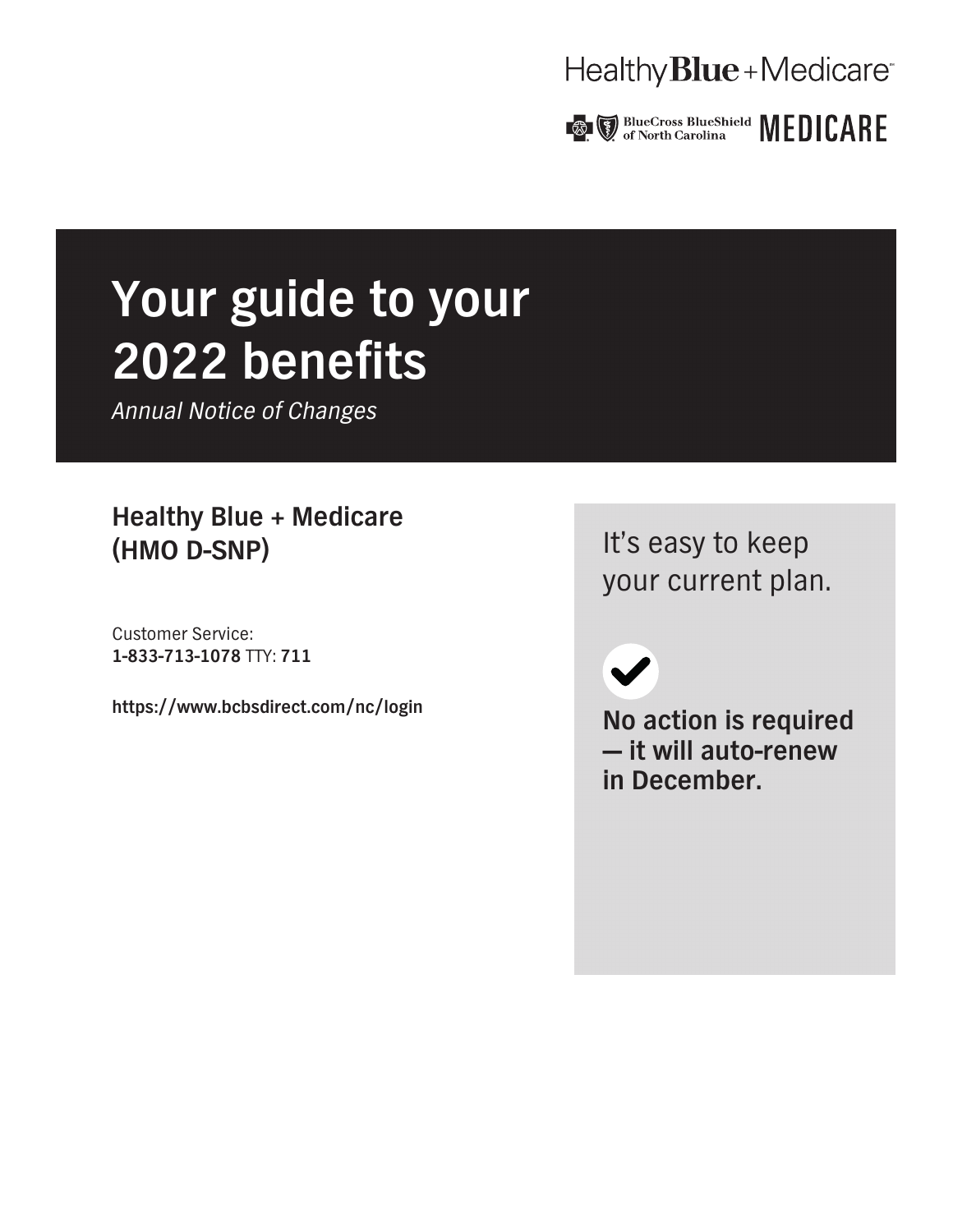### Healthy **Blue** + Medicare<sup>®</sup>



# **Your guide to your 2022 benefits**

*Annual Notice of Changes*

**Healthy Blue + Medicare (HMO D-SNP)**

**Customer Service: 1-833-713-1078 TTY: 711**

**https://www.bcbsdirect.com/nc/login**

**It's easy to keep your current plan.**

 $\blacktriangledown$ 

**No action is required — it will auto-renew in December.**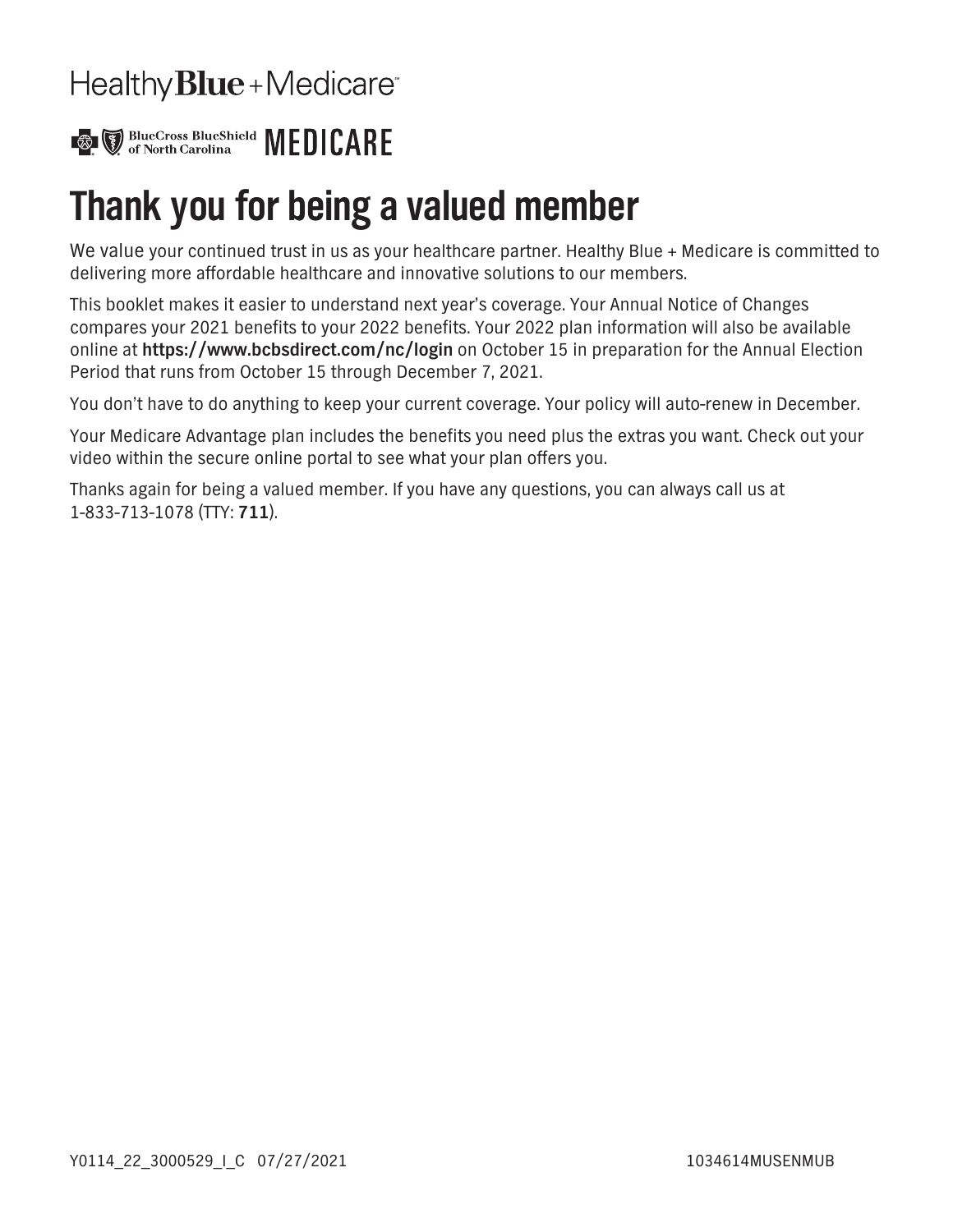## Healthy **Blue** + Medicare<sup>®</sup>



## **Thank you for being a valued member**

**We value your continued trust in us as your healthcare partner. Healthy Blue + Medicare is committed to delivering more affordable healthcare and innovative solutions to our members.**

**This booklet makes it easier to understand next year's coverage. Your Annual Notice of Changes compares your 2021 benefits to your 2022 benefits. Your 2022 plan information will also be available online at https://www.bcbsdirect.com/nc/login on October 15 in preparation for the Annual Election Period that runs from October 15 through December 7, 2021.**

**You don't have to do anything to keep your current coverage. Your policy will auto-renew in December.**

**Your Medicare Advantage plan includes the benefits you need plus the extras you want. Check out your video within the secure online portal to see what your plan offers you.**

**Thanks again for being a valued member. If you have any questions, you can always call us at 1-833-713-1078 (TTY: 711).**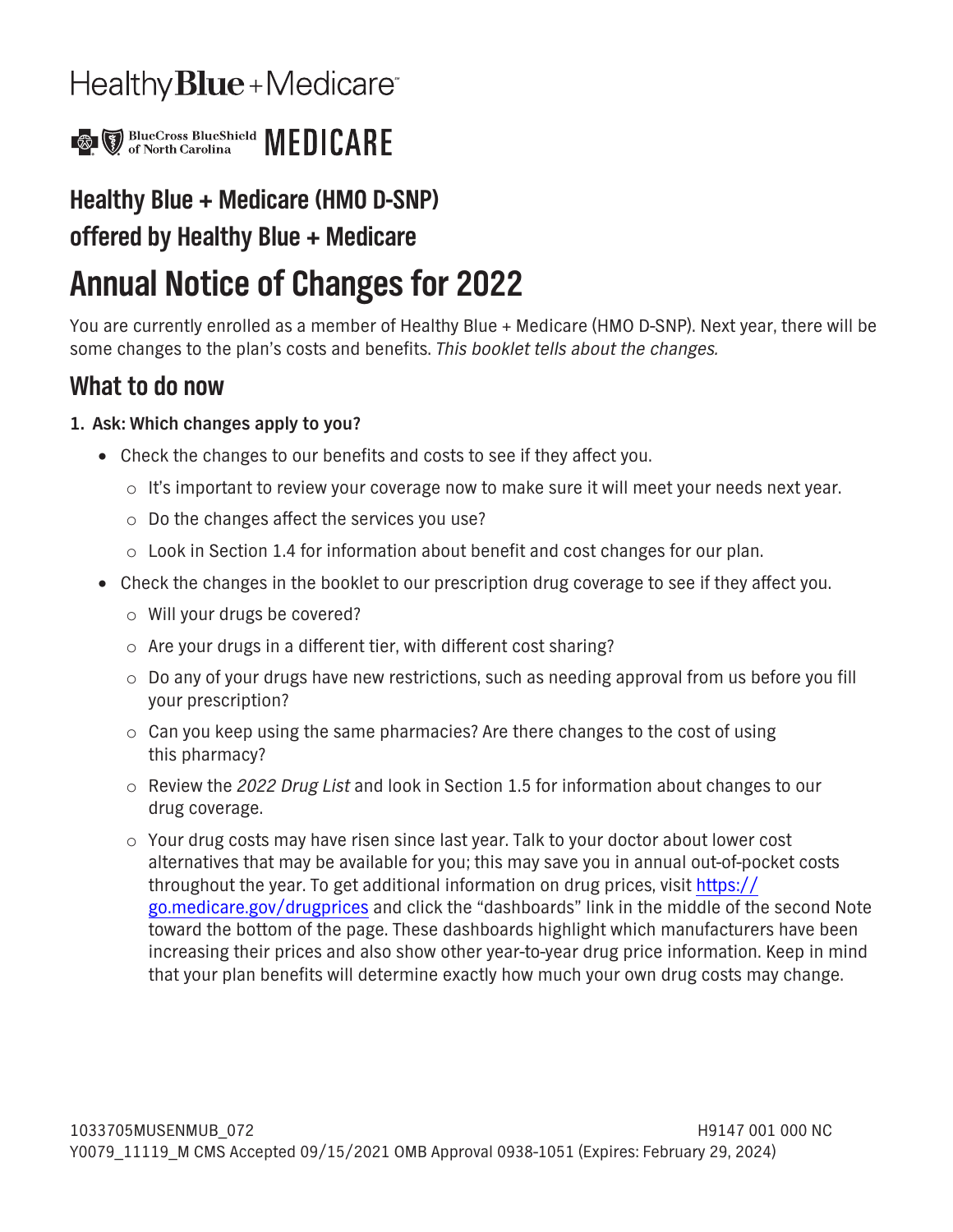## Healthy **Blue** + Medicare<sup>®</sup>



### **Healthy Blue + Medicare (HMO D-SNP)**

### **offered by Healthy Blue + Medicare**

## **Annual Notice of Changes for 2022**

**You are currently enrolled as a member of Healthy Blue + Medicare (HMO D-SNP). Next year, there will be some changes to the plan's costs and benefits.** *This booklet tells about the changes.*

### **What to do now**

### **1. Ask: Which changes apply to you?**

- □ Check the changes to our benefits and costs to see if they affect you.
	- **o It's important to review your coverage now to make sure it will meet your needs next year.**
	- **o Do the changes affect the services you use?**
	- **o Look in Section 1.4 for information about benefit and cost changes for our plan.**
- **Check the changes in the booklet to our prescription drug coverage to see if they affect you.**
	- **o Will your drugs be covered?**
	- **o Are your drugs in a different tier, with different cost sharing?**
	- **o Do any of your drugs have new restrictions, such as needing approval from us before you fill your prescription?**
	- **o Can you keep using the same pharmacies? Are there changes to the cost of using this pharmacy?**
	- **o Review the** *2022 Drug List* **and look in Section 1.5 for information about changes to our drug coverage.**
	- **o Your drug costs may have risen since last year. Talk to your doctor about lower cost alternatives that may be available for you; this may save you in annual out-of-pocket costs throughout the year. To get additional information on drug prices, visit [https://](https://go.medicare.gov/drugprices) [go.medicare.gov/drugprices](https://go.medicare.gov/drugprices) and click the "dashboards" link in the middle of the second Note toward the bottom of the page. These dashboards highlight which manufacturers have been increasing their prices and also show other year-to-year drug price information. Keep in mind that your plan benefits will determine exactly how much your own drug costs may change.**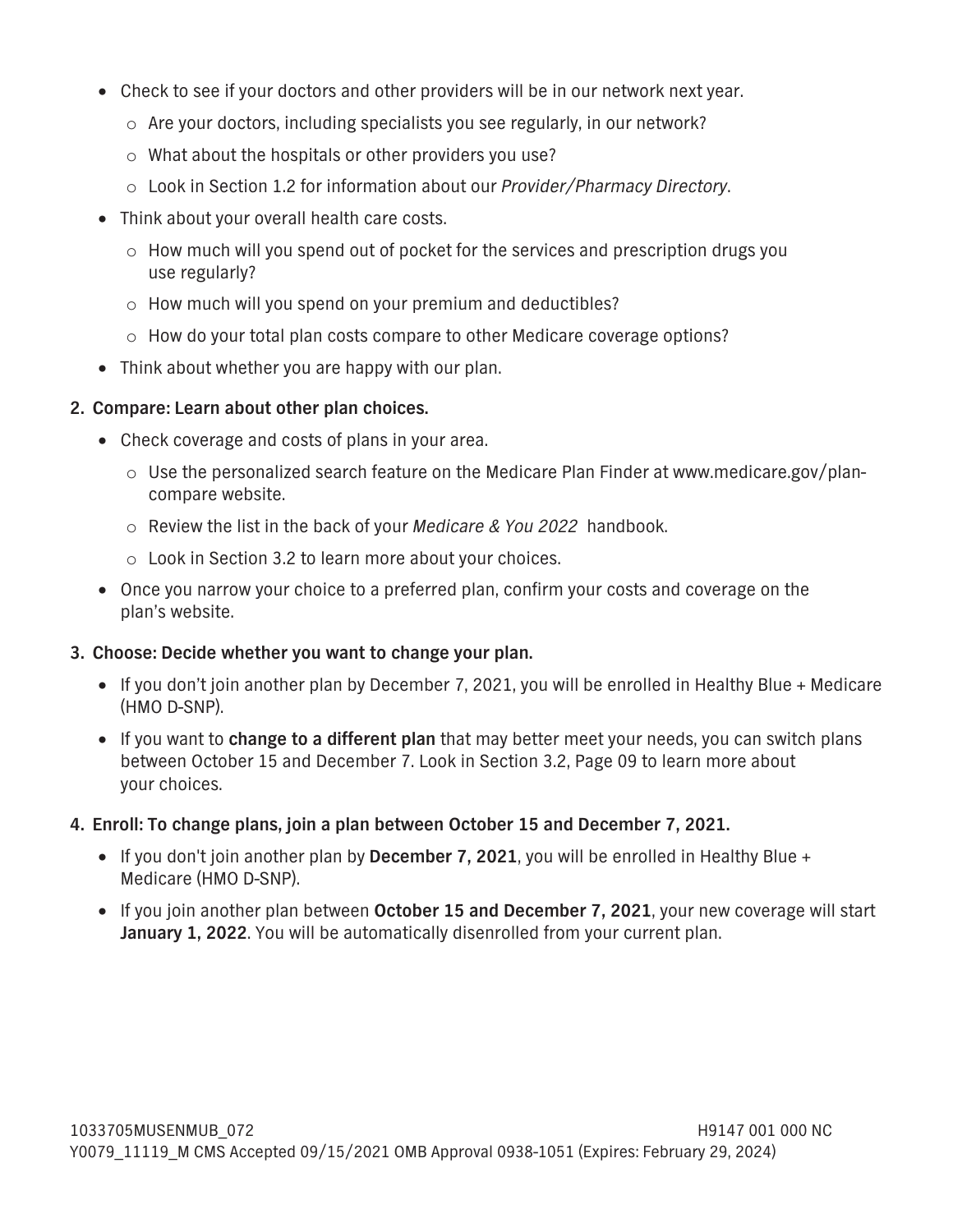- **Check to see if your doctors and other providers will be in our network next year.**
	- **o Are your doctors, including specialists you see regularly, in our network?**
	- **o What about the hospitals or other providers you use?**
	- **o Look in Section 1.2 for information about our** *Provider/Pharmacy Directory***.**
- □ Think about your overall health care costs.
	- **o How much will you spend out of pocket for the services and prescription drugs you use regularly?**
	- **o How much will you spend on your premium and deductibles?**
	- **o How do your total plan costs compare to other Medicare coverage options?**
- **Think about whether you are happy with our plan.**

#### **2. Compare: Learn about other plan choices.**

- **Check coverage and costs of plans in your area.**
	- **o Use the personalized search feature on the Medicare Plan Finder at www.medicare.gov/plancompare website.**
	- **o Review the list in the back of your** *Medicare & You 2022* **handbook.**
	- **o Look in Section 3.2 to learn more about your choices.**
- □ Once you narrow your choice to a preferred plan, confirm your costs and coverage on the **plan's website.**

#### **3. Choose: Decide whether you want to change your plan.**

- **If you don't join another plan by December 7, 2021, you will be enrolled in Healthy Blue + Medicare (HMO D-SNP).**
- **If you want to change to a different plan that may better meet your needs, you can switch plans between October 15 and December 7. Look in Section 3.2, [Page 09](#page-19-0) to learn more about your choices.**

#### **4. Enroll: To change plans, join a plan between October 15 and December 7, 2021.**

- **If you don't join another plan by December 7, 2021, you will be enrolled in Healthy Blue + Medicare (HMO D-SNP).**
- □ If you join another plan between **October 15 and December 7, 2021**, your new coverage will start **January 1, 2022. You will be automatically disenrolled from your current plan.**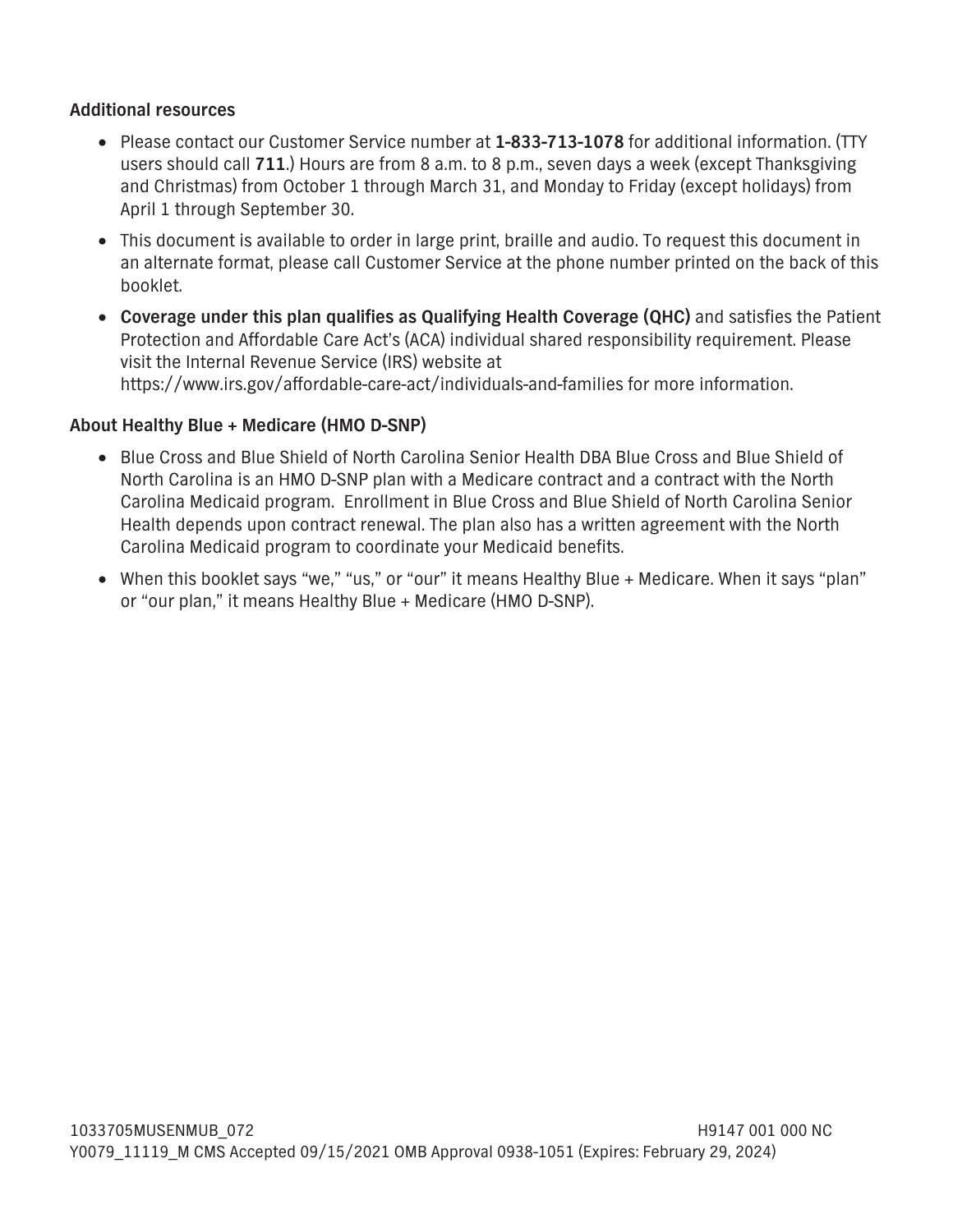#### **Additional resources**

- **Please contact our Customer Service number at 1-833-713-1078 for additional information. (TTY users should call 711.) Hours are from 8 a.m. to 8 p.m., seven days a week (except Thanksgiving and Christmas) from October 1 through March 31, and Monday to Friday (except holidays) from April 1 through September 30.**
- □ This document is available to order in large print, braille and audio. To request this document in **an alternate format, please call Customer Service at the phone number printed on the back of this booklet.**
- **Coverage under this plan qualifies as Qualifying Health Coverage (QHC) and satisfies the Patient Protection and Affordable Care Act's (ACA) individual shared responsibility requirement. Please visit the Internal Revenue Service (IRS) website at <https://www.irs.gov/affordable-care-act/individuals-and-families>for more information.**

#### **About Healthy Blue + Medicare (HMO D-SNP)**

- **Blue Cross and Blue Shield of North Carolina Senior Health DBA Blue Cross and Blue Shield of North Carolina is an HMO D-SNP plan with a Medicare contract and a contract with the North Carolina Medicaid program. Enrollment in Blue Cross and Blue Shield of North Carolina Senior Health depends upon contract renewal. The plan also has a written agreement with the North Carolina Medicaid program to coordinate your Medicaid benefits.**
- **When this booklet says "we," "us," or "our" it means Healthy Blue + Medicare. When it says "plan" or "our plan," it means Healthy Blue + Medicare (HMO D-SNP).**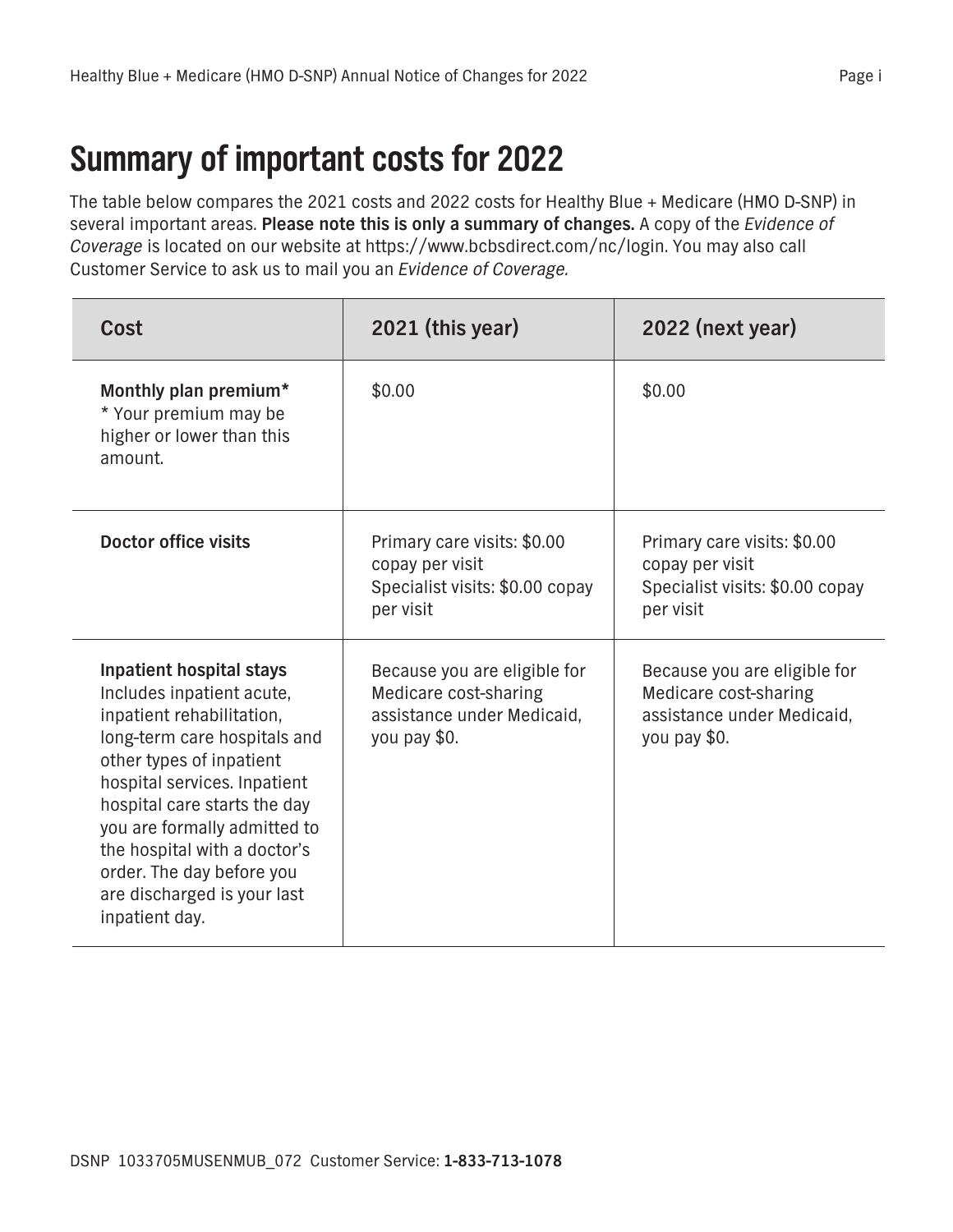## **Summary of important costs for 2022**

**The table below compares the 2021 costs and 2022 costs for Healthy Blue + Medicare (HMO D-SNP) in several important areas. Please note this is only a summary of changes. A copy of the** *Evidence of Coverage* **is located on our website at https://www.bcbsdirect.com/nc/login. You may also call Customer Service to ask us to mail you an** *Evidence of Coverage.*

| Cost                                                                                                                                                                                                                                                                                                                                                         | 2021 (this year)                                                                                    | 2022 (next year)                                                                                    |
|--------------------------------------------------------------------------------------------------------------------------------------------------------------------------------------------------------------------------------------------------------------------------------------------------------------------------------------------------------------|-----------------------------------------------------------------------------------------------------|-----------------------------------------------------------------------------------------------------|
| Monthly plan premium*<br>* Your premium may be<br>higher or lower than this<br>amount.                                                                                                                                                                                                                                                                       | \$0.00                                                                                              | \$0.00                                                                                              |
| Doctor office visits                                                                                                                                                                                                                                                                                                                                         | Primary care visits: \$0.00<br>copay per visit<br>Specialist visits: \$0.00 copay<br>per visit      | Primary care visits: \$0.00<br>copay per visit<br>Specialist visits: \$0.00 copay<br>per visit      |
| Inpatient hospital stays<br>Includes inpatient acute,<br>inpatient rehabilitation,<br>long-term care hospitals and<br>other types of inpatient<br>hospital services. Inpatient<br>hospital care starts the day<br>you are formally admitted to<br>the hospital with a doctor's<br>order. The day before you<br>are discharged is your last<br>inpatient day. | Because you are eligible for<br>Medicare cost-sharing<br>assistance under Medicaid,<br>you pay \$0. | Because you are eligible for<br>Medicare cost-sharing<br>assistance under Medicaid,<br>you pay \$0. |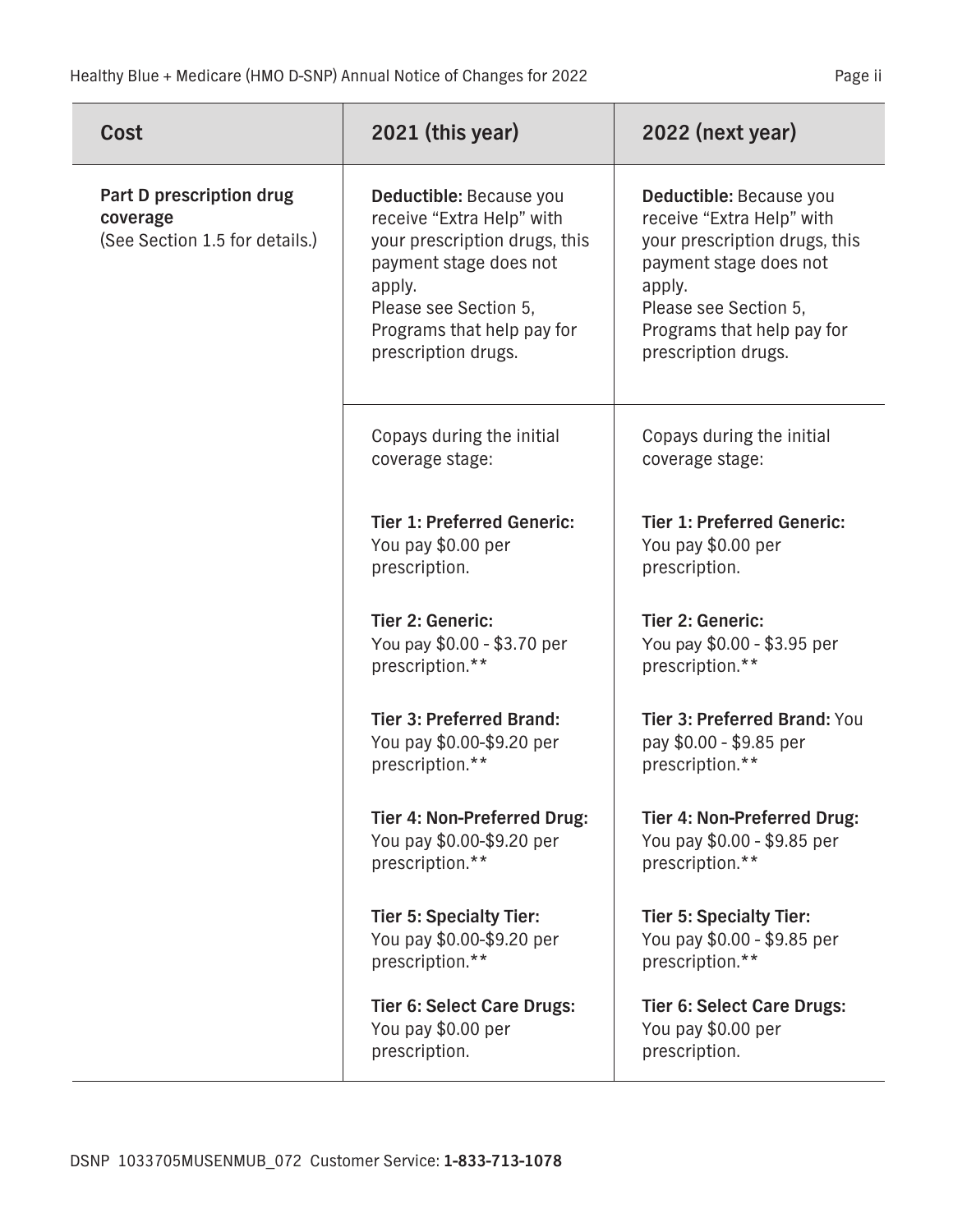| Cost                                                                   | $2021$ (this year)                                                                                                                                                                                      | 2022 (next year)                                                                                                                                                                                        |
|------------------------------------------------------------------------|---------------------------------------------------------------------------------------------------------------------------------------------------------------------------------------------------------|---------------------------------------------------------------------------------------------------------------------------------------------------------------------------------------------------------|
| Part D prescription drug<br>coverage<br>(See Section 1.5 for details.) | Deductible: Because you<br>receive "Extra Help" with<br>your prescription drugs, this<br>payment stage does not<br>apply.<br>Please see Section 5,<br>Programs that help pay for<br>prescription drugs. | Deductible: Because you<br>receive "Extra Help" with<br>your prescription drugs, this<br>payment stage does not<br>apply.<br>Please see Section 5,<br>Programs that help pay for<br>prescription drugs. |
|                                                                        | Copays during the initial<br>coverage stage:                                                                                                                                                            | Copays during the initial<br>coverage stage:                                                                                                                                                            |
|                                                                        | <b>Tier 1: Preferred Generic:</b><br>You pay \$0.00 per<br>prescription.                                                                                                                                | <b>Tier 1: Preferred Generic:</b><br>You pay \$0.00 per<br>prescription.                                                                                                                                |
|                                                                        | <b>Tier 2: Generic:</b><br>You pay \$0.00 - \$3.70 per<br>prescription.**                                                                                                                               | <b>Tier 2: Generic:</b><br>You pay \$0.00 - \$3.95 per<br>prescription.**                                                                                                                               |
|                                                                        | <b>Tier 3: Preferred Brand:</b><br>You pay \$0.00-\$9.20 per<br>prescription.**                                                                                                                         | Tier 3: Preferred Brand: You<br>pay \$0.00 - \$9.85 per<br>prescription.**                                                                                                                              |
|                                                                        | Tier 4: Non-Preferred Drug:<br>You pay \$0.00-\$9.20 per<br>prescription.**                                                                                                                             | Tier 4: Non-Preferred Drug:<br>You pay \$0.00 - \$9.85 per<br>prescription.**                                                                                                                           |
|                                                                        | <b>Tier 5: Specialty Tier:</b><br>You pay \$0.00-\$9.20 per<br>prescription.**                                                                                                                          | <b>Tier 5: Specialty Tier:</b><br>You pay \$0.00 - \$9.85 per<br>prescription.**                                                                                                                        |
|                                                                        | <b>Tier 6: Select Care Drugs:</b><br>You pay \$0.00 per<br>prescription.                                                                                                                                | <b>Tier 6: Select Care Drugs:</b><br>You pay \$0.00 per<br>prescription.                                                                                                                                |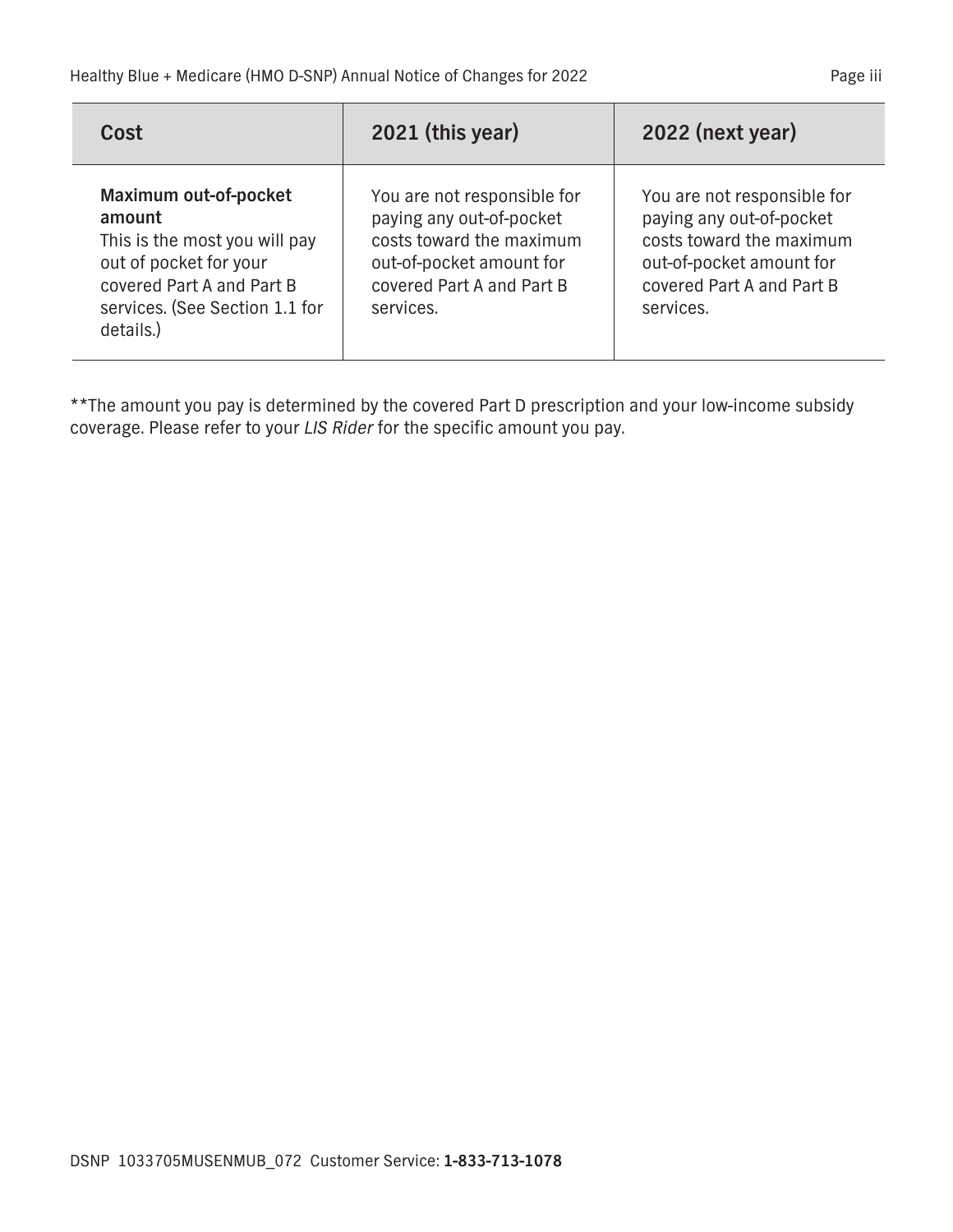| Cost                                                                                                                                                                   | 2021 (this year)                                                                                                                                          | 2022 (next year)                                                                                                                                          |
|------------------------------------------------------------------------------------------------------------------------------------------------------------------------|-----------------------------------------------------------------------------------------------------------------------------------------------------------|-----------------------------------------------------------------------------------------------------------------------------------------------------------|
| Maximum out-of-pocket<br>amount<br>This is the most you will pay<br>out of pocket for your<br>covered Part A and Part B<br>services. (See Section 1.1 for<br>details.) | You are not responsible for<br>paying any out-of-pocket<br>costs toward the maximum<br>out-of-pocket amount for<br>covered Part A and Part B<br>services. | You are not responsible for<br>paying any out-of-pocket<br>costs toward the maximum<br>out-of-pocket amount for<br>covered Part A and Part B<br>services. |

**\*\*The amount you pay is determined by the covered Part D prescription and your low-income subsidy coverage. Please refer to your** *LIS Rider* **for the specific amount you pay.**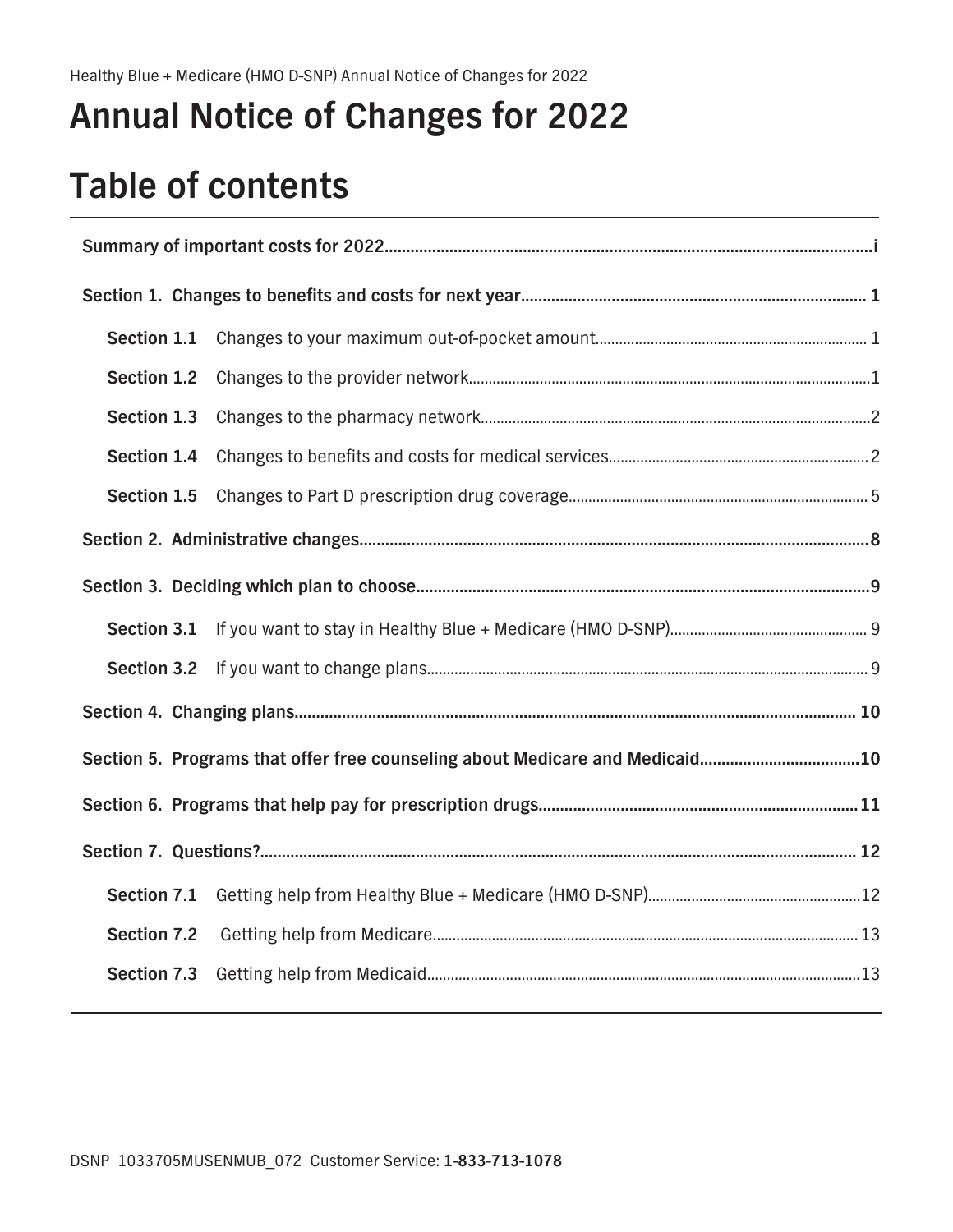## **Annual Notice of Changes for 2022**

## **Table of contents**

| Section 1.1 |  |
|-------------|--|
| Section 1.2 |  |
| Section 1.3 |  |
| Section 1.4 |  |
| Section 1.5 |  |
|             |  |
|             |  |
| Section 3.1 |  |
| Section 3.2 |  |
|             |  |
|             |  |
|             |  |
|             |  |
| Section 7.1 |  |
| Section 7.2 |  |
| Section 7.3 |  |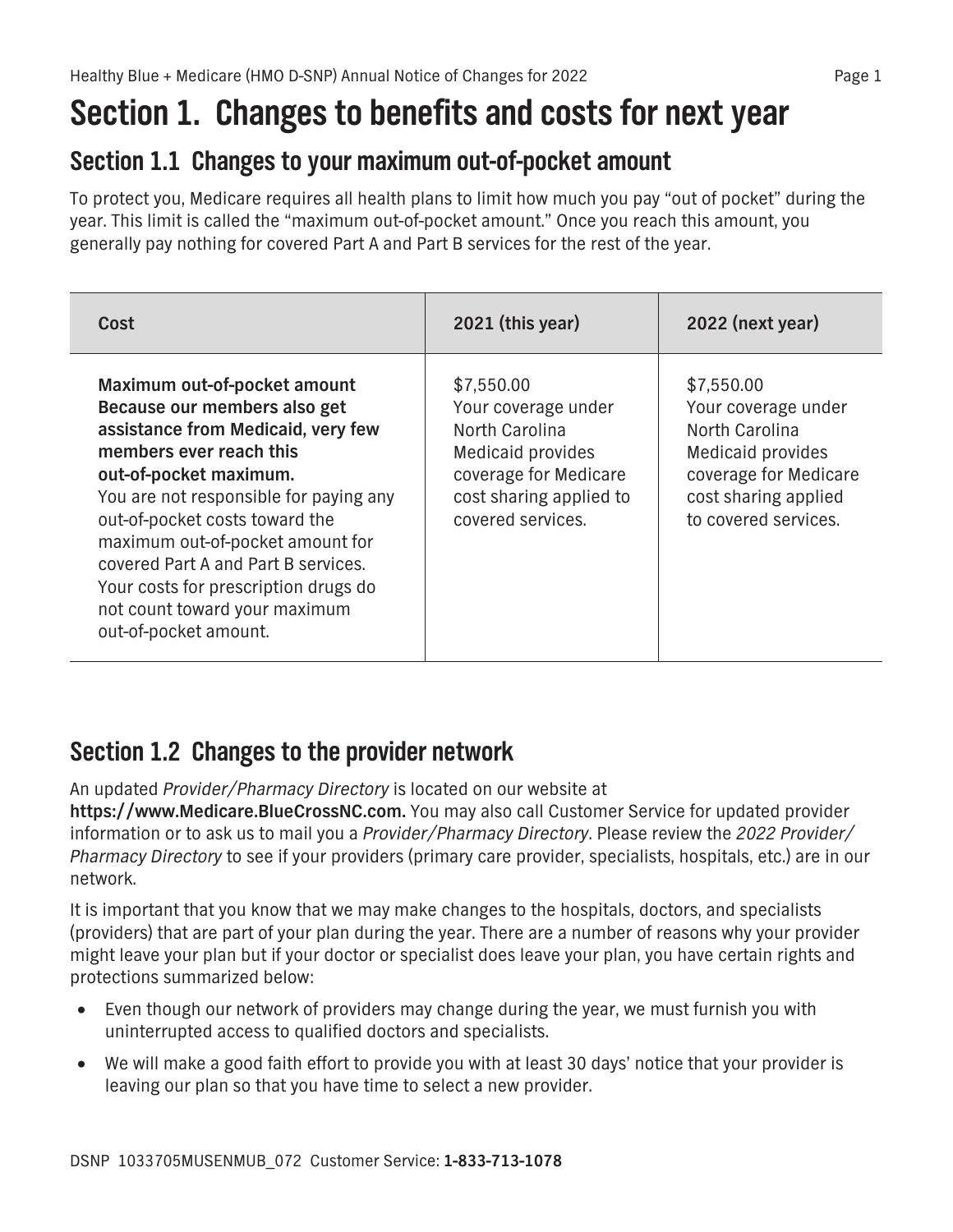## <span id="page-11-0"></span>**Section 1. Changes to benefits and costs for next year**

### **Section 1.1 Changes to your maximum out-of-pocket amount**

**To protect you, Medicare requires all health plans to limit how much you pay "out of pocket" during the year. This limit is called the "maximum out-of-pocket amount." Once you reach this amount, you generally pay nothing for covered Part A and Part B services for the rest of the year.**

| Cost                                                                                                                                                                                                                                                                                                                                                                                                             | 2021 (this year)                                                                                                                                  | 2022 (next year)                                                                                                                                  |
|------------------------------------------------------------------------------------------------------------------------------------------------------------------------------------------------------------------------------------------------------------------------------------------------------------------------------------------------------------------------------------------------------------------|---------------------------------------------------------------------------------------------------------------------------------------------------|---------------------------------------------------------------------------------------------------------------------------------------------------|
| Maximum out-of-pocket amount<br>Because our members also get<br>assistance from Medicaid, very few<br>members ever reach this<br>out-of-pocket maximum.<br>You are not responsible for paying any<br>out-of-pocket costs toward the<br>maximum out-of-pocket amount for<br>covered Part A and Part B services.<br>Your costs for prescription drugs do<br>not count toward your maximum<br>out-of-pocket amount. | \$7,550.00<br>Your coverage under<br>North Carolina<br>Medicaid provides<br>coverage for Medicare<br>cost sharing applied to<br>covered services. | \$7,550.00<br>Your coverage under<br>North Carolina<br>Medicaid provides<br>coverage for Medicare<br>cost sharing applied<br>to covered services. |

### **Section 1.2 Changes to the provider network**

**An updated** *Provider/Pharmacy Directory* **is located on our website at** 

**<https://www.Medicare.BlueCrossNC.com>. You may also call Customer Service for updated provider information or to ask us to mail you a** *Provider/Pharmacy Directory***. Please review the** *2022 Provider/ Pharmacy Directory* **to see if your providers (primary care provider, specialists, hospitals, etc.) are in our network.**

**It is important that you know that we may make changes to the hospitals, doctors, and specialists (providers) that are part of your plan during the year. There are a number of reasons why your provider might leave your plan but if your doctor or specialist does leave your plan, you have certain rights and protections summarized below:**

- □ Even though our network of providers may change during the year, we must furnish you with **uninterrupted access to qualified doctors and specialists.**
- **We will make a good faith effort to provide you with at least 30 days' notice that your provider is leaving our plan so that you have time to select a new provider.**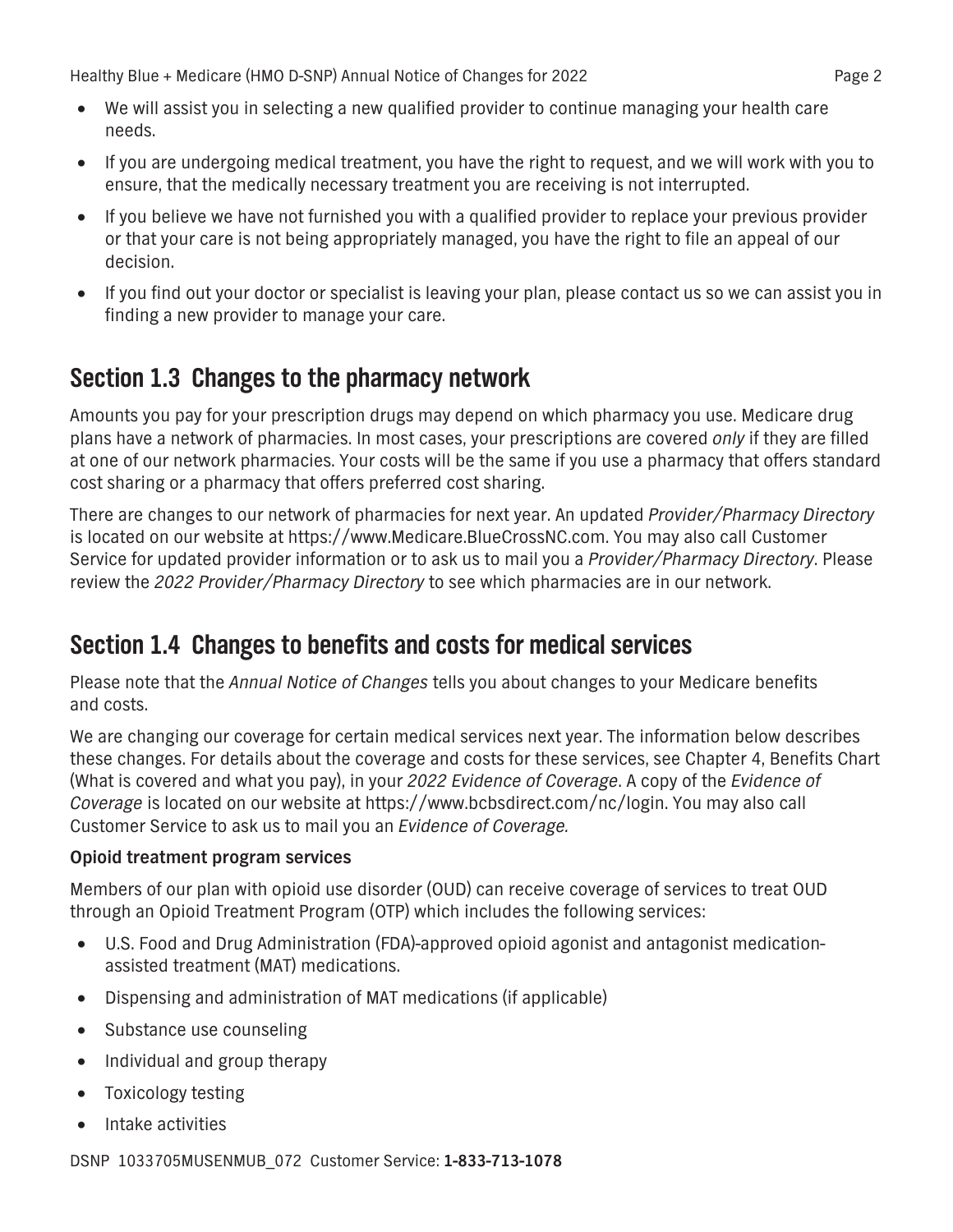- <span id="page-12-0"></span>**• We will assist you in selecting a new qualified provider to continue managing your health care needs.**
- **If you are undergoing medical treatment, you have the right to request, and we will work with you to ensure, that the medically necessary treatment you are receiving is not interrupted.**
- **If you believe we have not furnished you with a qualified provider to replace your previous provider or that your care is not being appropriately managed, you have the right to file an appeal of our decision.**
- **If you find out your doctor or specialist is leaving your plan, please contact us so we can assist you in finding a new provider to manage your care.**

### **Section 1.3 Changes to the pharmacy network**

**Amounts you pay for your prescription drugs may depend on which pharmacy you use. Medicare drug plans have a network of pharmacies. In most cases, your prescriptions are covered** *only* **if they are filled at one of our network pharmacies. Your costs will be the same if you use a pharmacy that offers standard cost sharing or a pharmacy that offers preferred cost sharing.**

**There are changes to our network of pharmacies for next year. An updated** *Provider/Pharmacy Directory*  **is located on our website at<https://www.Medicare.BlueCrossNC.com>. You may also call Customer Service for updated provider information or to ask us to mail you a** *Provider/Pharmacy Directory***. Please review the** *2022 Provider/Pharmacy Directory* **to see which pharmacies are in our network.**

### **Section 1.4 Changes to benefits and costs for medical services**

**Please note that the** *Annual Notice of Changes* **tells you about changes to your Medicare benefits and costs.** 

**We are changing our coverage for certain medical services next year. The information below describes these changes. For details about the coverage and costs for these services, see Chapter 4, Benefits Chart (What is covered and what you pay), in your** *2022 Evidence of Coverage***. A copy of the** *Evidence of Coverage* **is located on our website at https://www.bcbsdirect.com/nc/login. You may also call Customer Service to ask us to mail you an** *Evidence of Coverage.*

### **Opioid treatment program services**

**Members of our plan with opioid use disorder (OUD) can receive coverage of services to treat OUD through an Opioid Treatment Program (OTP) which includes the following services:**

- □ U.S. Food and Drug Administration (FDA)-approved opioid agonist and antagonist medication**assisted treatment (MAT) medications.**
- **Dispensing and administration of MAT medications (if applicable)**
- **Substance use counseling**
- **Individual and group therapy**
- **Toxicology testing**
- **Intake activities**

**DSNP 1033705MUSENMUB\_072 Customer Service: 1-833-713-1078**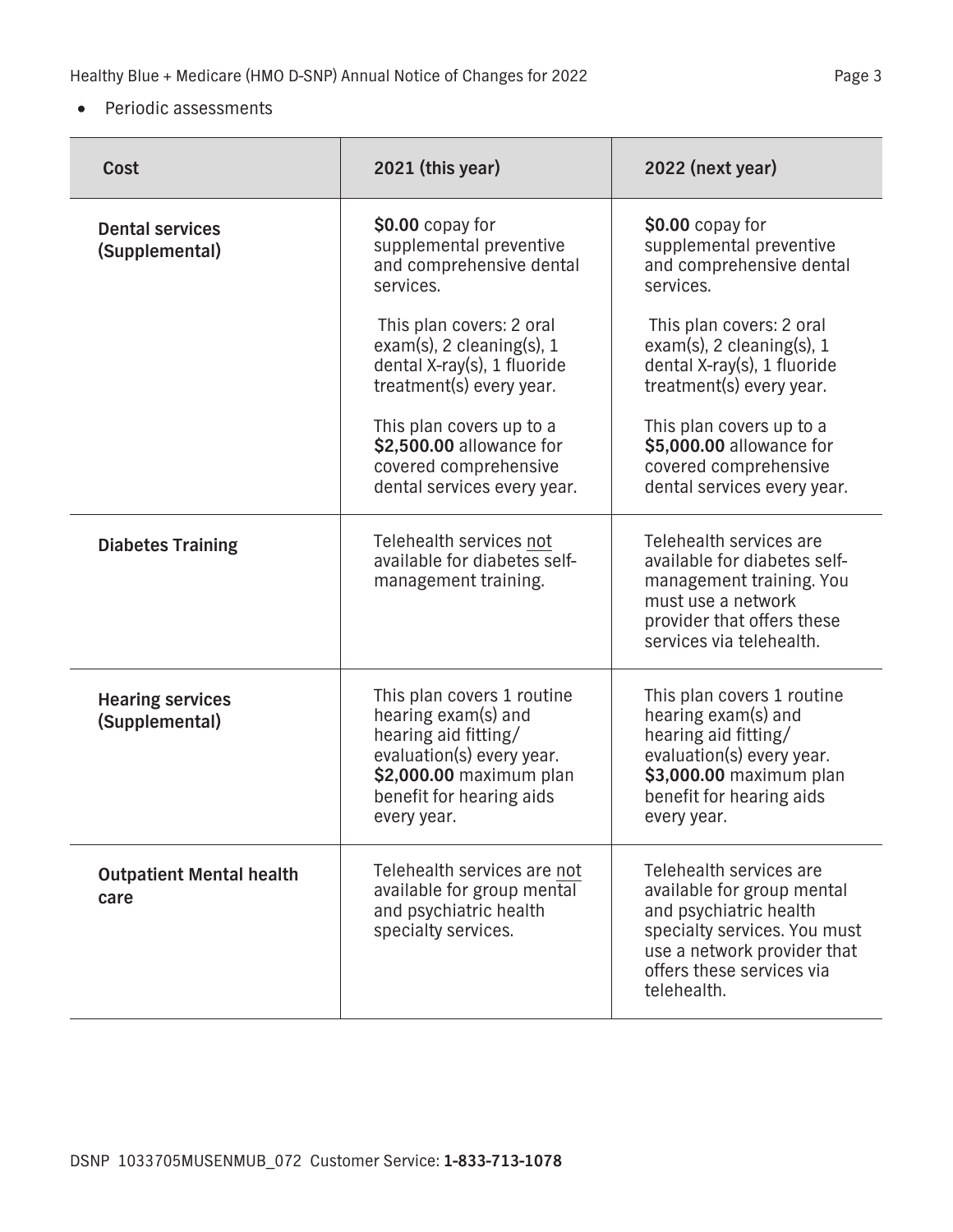#### **• Periodic assessments**

| Cost                                      | 2021 (this year)                                                                                                                                                             | 2022 (next year)                                                                                                                                                                           |
|-------------------------------------------|------------------------------------------------------------------------------------------------------------------------------------------------------------------------------|--------------------------------------------------------------------------------------------------------------------------------------------------------------------------------------------|
| <b>Dental services</b><br>(Supplemental)  | \$0.00 copay for<br>supplemental preventive<br>and comprehensive dental<br>services.                                                                                         | \$0.00 copay for<br>supplemental preventive<br>and comprehensive dental<br>services.                                                                                                       |
|                                           | This plan covers: 2 oral<br>$exam(s)$ , 2 cleaning(s), 1<br>dental X-ray(s), 1 fluoride<br>treatment(s) every year.                                                          | This plan covers: 2 oral<br>$exam(s)$ , 2 cleaning(s), 1<br>dental X-ray(s), 1 fluoride<br>treatment(s) every year.                                                                        |
|                                           | This plan covers up to a<br>\$2,500.00 allowance for<br>covered comprehensive<br>dental services every year.                                                                 | This plan covers up to a<br>\$5,000.00 allowance for<br>covered comprehensive<br>dental services every year.                                                                               |
| <b>Diabetes Training</b>                  | Telehealth services not<br>available for diabetes self-<br>management training.                                                                                              | Telehealth services are<br>available for diabetes self-<br>management training. You<br>must use a network<br>provider that offers these<br>services via telehealth.                        |
| <b>Hearing services</b><br>(Supplemental) | This plan covers 1 routine<br>hearing exam(s) and<br>hearing aid fitting/<br>evaluation(s) every year.<br>\$2,000.00 maximum plan<br>benefit for hearing aids<br>every year. | This plan covers 1 routine<br>hearing exam(s) and<br>hearing aid fitting/<br>evaluation(s) every year.<br>\$3,000.00 maximum plan<br>benefit for hearing aids<br>every year.               |
| <b>Outpatient Mental health</b><br>care   | Telehealth services are not<br>available for group mental<br>and psychiatric health<br>specialty services.                                                                   | Telehealth services are<br>available for group mental<br>and psychiatric health<br>specialty services. You must<br>use a network provider that<br>offers these services via<br>telehealth. |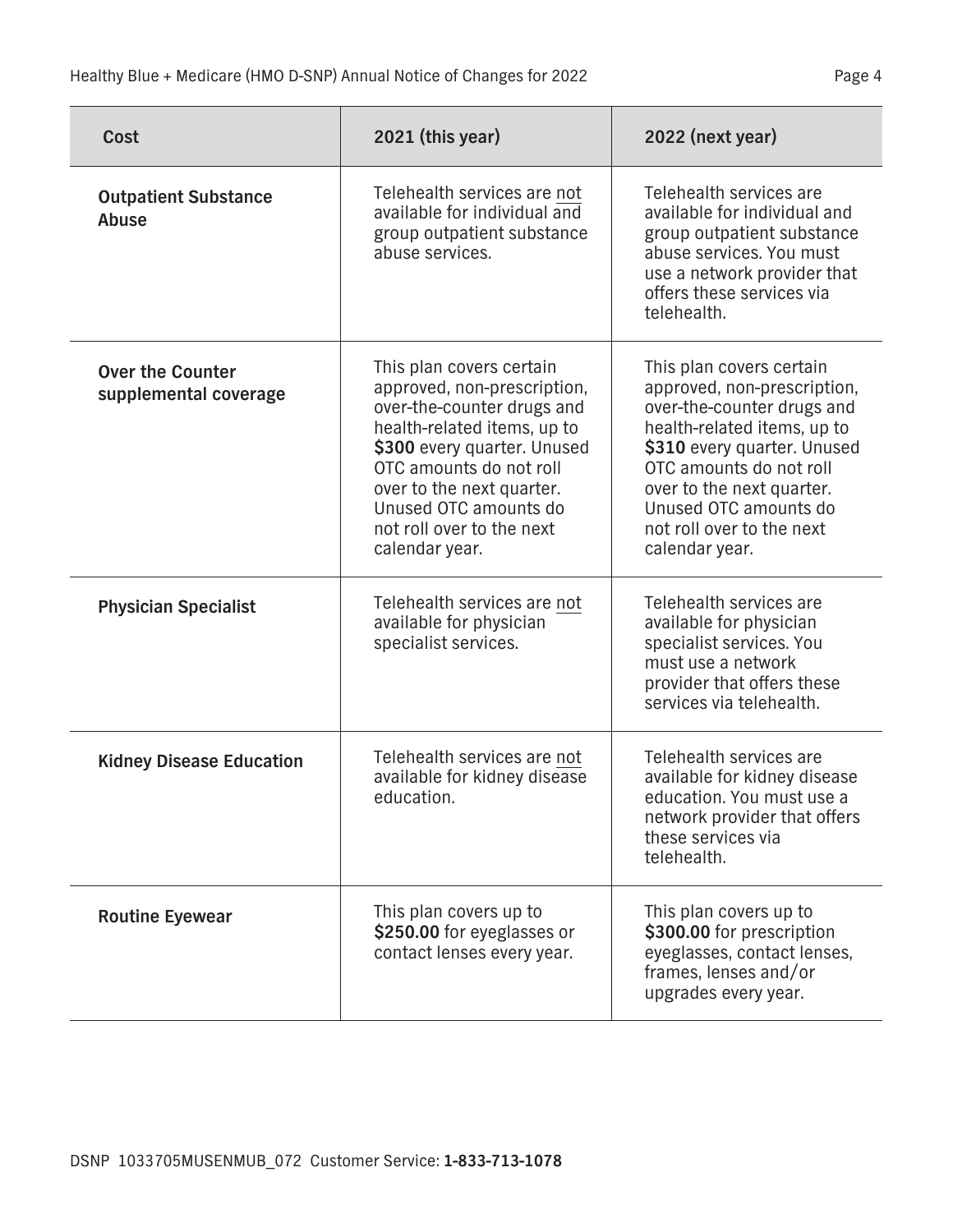| Cost                                             | 2021 (this year)                                                                                                                                                                                                                                                                    | 2022 (next year)                                                                                                                                                                                                                                                                    |
|--------------------------------------------------|-------------------------------------------------------------------------------------------------------------------------------------------------------------------------------------------------------------------------------------------------------------------------------------|-------------------------------------------------------------------------------------------------------------------------------------------------------------------------------------------------------------------------------------------------------------------------------------|
| <b>Outpatient Substance</b><br>Abuse             | Telehealth services are not<br>available for individual and<br>group outpatient substance<br>abuse services.                                                                                                                                                                        | Telehealth services are<br>available for individual and<br>group outpatient substance<br>abuse services. You must<br>use a network provider that<br>offers these services via<br>telehealth.                                                                                        |
| <b>Over the Counter</b><br>supplemental coverage | This plan covers certain<br>approved, non-prescription,<br>over-the-counter drugs and<br>health-related items, up to<br>\$300 every quarter. Unused<br>OTC amounts do not roll<br>over to the next quarter.<br>Unused OTC amounts do<br>not roll over to the next<br>calendar year. | This plan covers certain<br>approved, non-prescription,<br>over-the-counter drugs and<br>health-related items, up to<br>\$310 every quarter. Unused<br>OTC amounts do not roll<br>over to the next quarter.<br>Unused OTC amounts do<br>not roll over to the next<br>calendar year. |
| <b>Physician Specialist</b>                      | Telehealth services are not<br>available for physician<br>specialist services.                                                                                                                                                                                                      | Telehealth services are<br>available for physician<br>specialist services. You<br>must use a network<br>provider that offers these<br>services via telehealth.                                                                                                                      |
| <b>Kidney Disease Education</b>                  | Telehealth services are not<br>available for kidney disease<br>education.                                                                                                                                                                                                           | Telehealth services are<br>available for kidney disease<br>education. You must use a<br>network provider that offers<br>these services via<br>telehealth.                                                                                                                           |
| <b>Routine Eyewear</b>                           | This plan covers up to<br>\$250.00 for eyeglasses or<br>contact lenses every year.                                                                                                                                                                                                  | This plan covers up to<br>\$300.00 for prescription<br>eyeglasses, contact lenses,<br>frames, lenses and/or<br>upgrades every year.                                                                                                                                                 |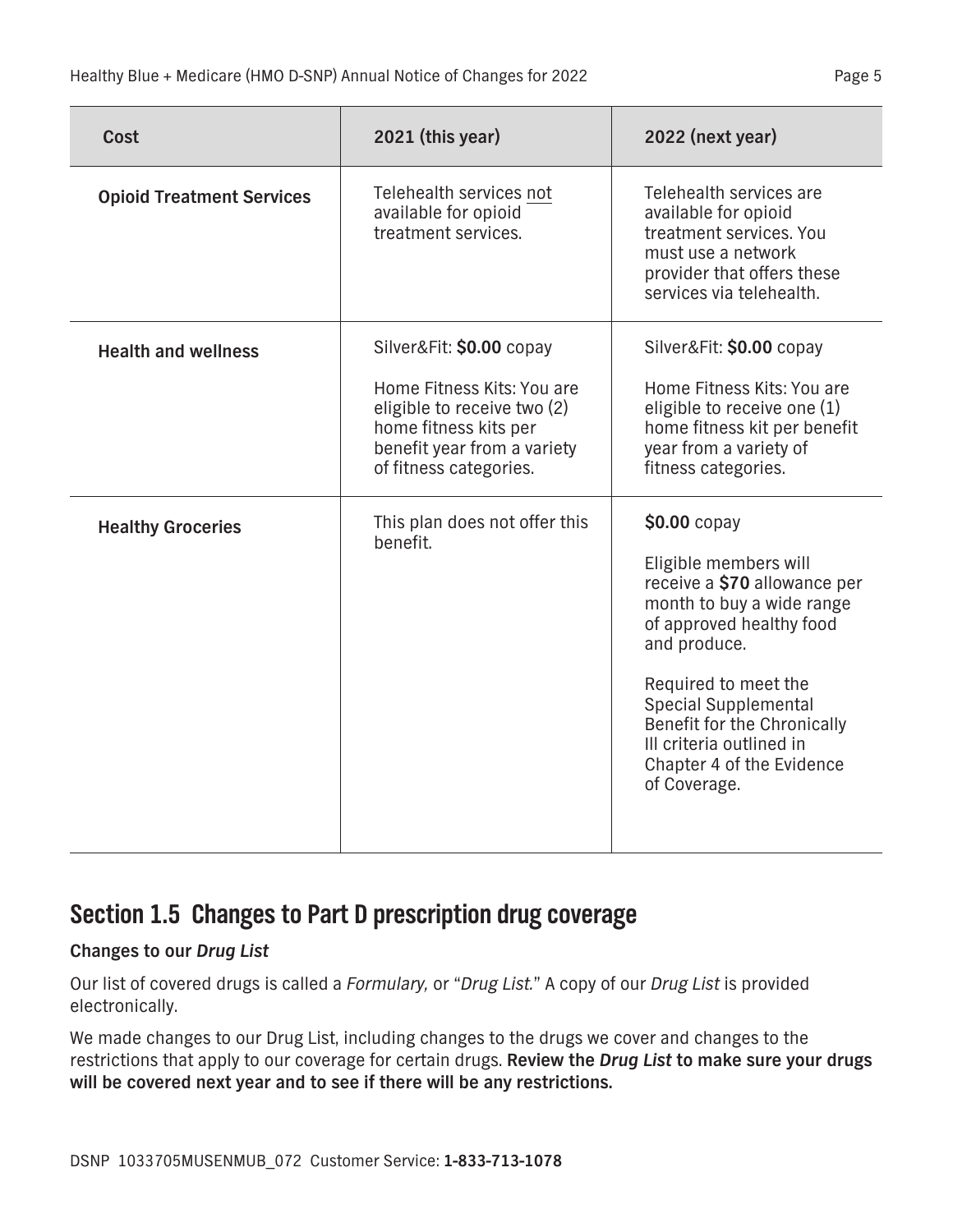<span id="page-15-0"></span>

| Cost                             | 2021 (this year)                                                                                                                                                        | 2022 (next year)                                                                                                                                                                                                                                                                                              |
|----------------------------------|-------------------------------------------------------------------------------------------------------------------------------------------------------------------------|---------------------------------------------------------------------------------------------------------------------------------------------------------------------------------------------------------------------------------------------------------------------------------------------------------------|
| <b>Opioid Treatment Services</b> | Telehealth services not<br>available for opioid<br>treatment services.                                                                                                  | Telehealth services are<br>available for opioid<br>treatment services. You<br>must use a network<br>provider that offers these<br>services via telehealth.                                                                                                                                                    |
| <b>Health and wellness</b>       | Silver&Fit: \$0.00 copay<br>Home Fitness Kits: You are<br>eligible to receive two (2)<br>home fitness kits per<br>benefit year from a variety<br>of fitness categories. | Silver&Fit: \$0.00 copay<br>Home Fitness Kits: You are<br>eligible to receive one $(1)$<br>home fitness kit per benefit<br>year from a variety of<br>fitness categories.                                                                                                                                      |
| <b>Healthy Groceries</b>         | This plan does not offer this<br>benefit.                                                                                                                               | \$0.00 copay<br>Eligible members will<br>receive a \$70 allowance per<br>month to buy a wide range<br>of approved healthy food<br>and produce.<br>Required to meet the<br><b>Special Supplemental</b><br>Benefit for the Chronically<br>III criteria outlined in<br>Chapter 4 of the Evidence<br>of Coverage. |

### **Section 1.5 Changes to Part D prescription drug coverage**

### **Changes to our** *Drug List*

**Our list of covered drugs is called a** *Formulary,* **or "***Drug List.***" A copy of our** *Drug List* **is provided electronically.** 

**We made changes to our Drug List, including changes to the drugs we cover and changes to the restrictions that apply to our coverage for certain drugs. Review the** *Drug List* **to make sure your drugs will be covered next year and to see if there will be any restrictions.**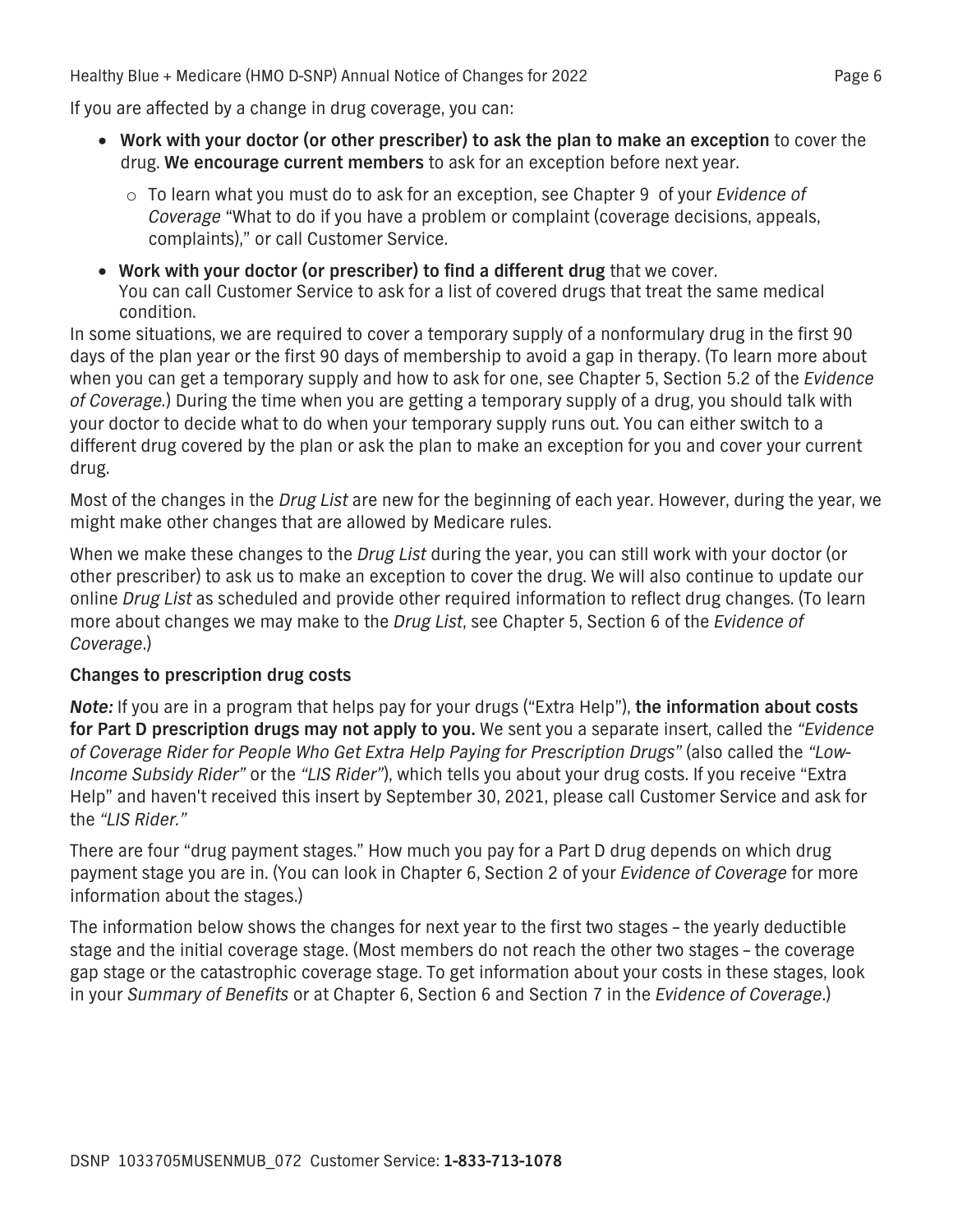**If you are affected by a change in drug coverage, you can:**

- **Work with your doctor (or other prescriber) to ask the plan to make an exception to cover the drug. We encourage current members to ask for an exception before next year.**
	- **o To learn what you must do to ask for an exception, see Chapter 9 of your** *Evidence of Coverage* **"What to do if you have a problem or complaint (coverage decisions, appeals, complaints)," or call Customer Service.**
- **Work with your doctor (or prescriber) to find a different drug that we cover. You can call Customer Service to ask for a list of covered drugs that treat the same medical condition.**

**In some situations, we are required to cover a temporary supply of a nonformulary drug in the first 90 days of the plan year or the first 90 days of membership to avoid a gap in therapy. (To learn more about**  when you can get a temporary supply and how to ask for one, see Chapter 5, Section 5.2 of the *Evidence of Coverage.***) During the time when you are getting a temporary supply of a drug, you should talk with your doctor to decide what to do when your temporary supply runs out. You can either switch to a different drug covered by the plan or ask the plan to make an exception for you and cover your current drug.**

**Most of the changes in the** *Drug List* **are new for the beginning of each year. However, during the year, we might make other changes that are allowed by Medicare rules.**

**When we make these changes to the** *Drug List* **during the year, you can still work with your doctor (or other prescriber) to ask us to make an exception to cover the drug. We will also continue to update our online** *Drug List* **as scheduled and provide other required information to reflect drug changes. (To learn more about changes we may make to the** *Drug List***, see Chapter 5, Section 6 of the** *Evidence of Coverage***.)**

#### **Changes to prescription drug costs**

*Note:* **If you are in a program that helps pay for your drugs ("Extra Help"), the information about costs for Part D prescription drugs may not apply to you. We sent you a separate insert, called the** *"Evidence of Coverage Rider for People Who Get Extra Help Paying for Prescription Drugs"* **(also called the** *"Low-Income Subsidy Rider"* **or the** *"LIS Rider"***), which tells you about your drug costs. If you receive "Extra Help" and haven't received this insert by September 30, 2021, please call Customer Service and ask for the** *"LIS Rider."*

**There are four "drug payment stages." How much you pay for a Part D drug depends on which drug payment stage you are in. (You can look in Chapter 6, Section 2 of your** *Evidence of Coverage* **for more information about the stages.)**

**The information below shows the changes for next year to the first two stages – the yearly deductible stage and the initial coverage stage. (Most members do not reach the other two stages – the coverage gap stage or the catastrophic coverage stage. To get information about your costs in these stages, look in your** *Summary of Benefits* **or at Chapter 6, Section 6 and Section 7 in the** *Evidence of Coverage***.)**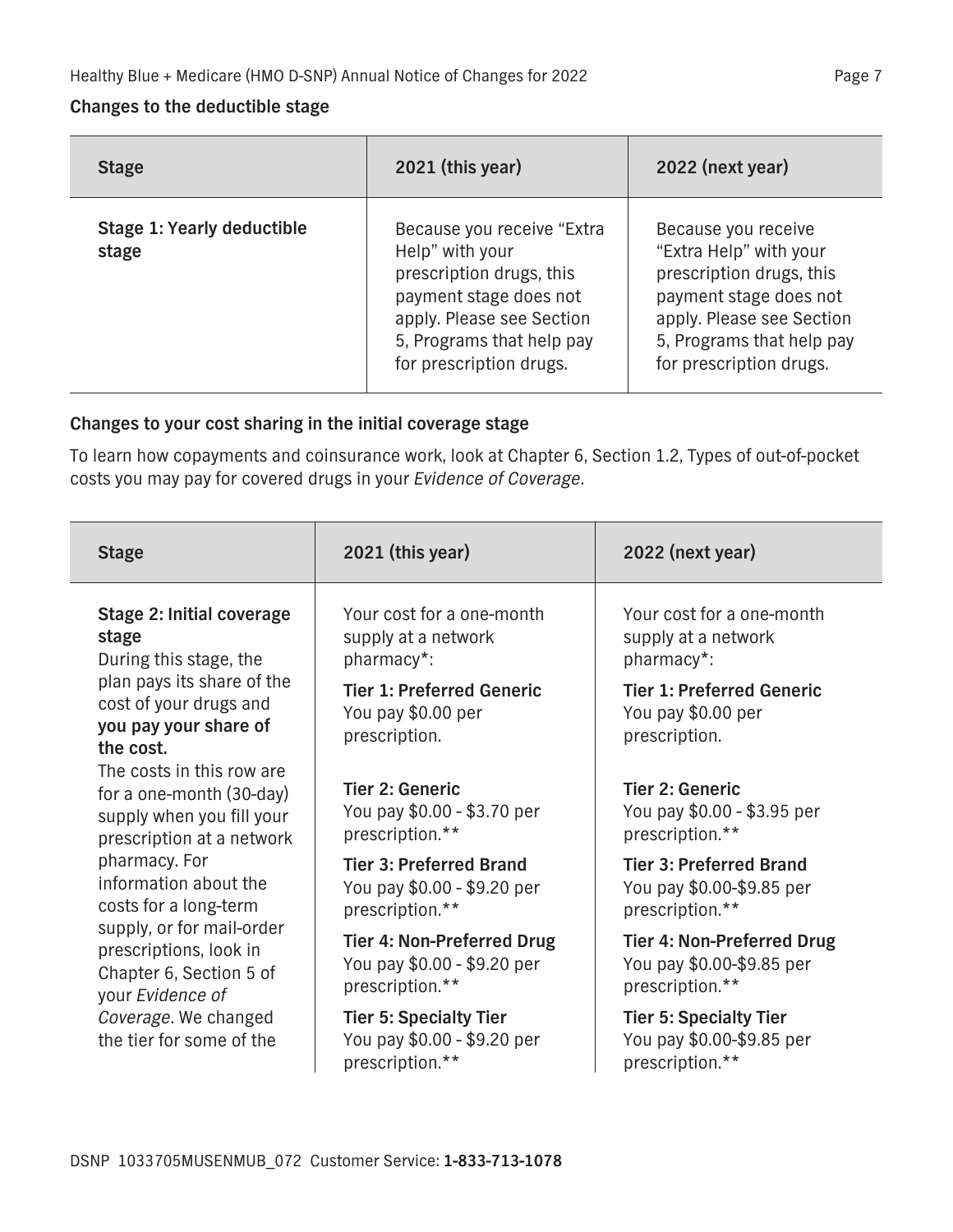#### **Changes to the deductible stage**

| <b>Stage</b>                        | 2021 (this year)                                                                                                                                                                         | 2022 (next year)                                                                                                                                                                         |
|-------------------------------------|------------------------------------------------------------------------------------------------------------------------------------------------------------------------------------------|------------------------------------------------------------------------------------------------------------------------------------------------------------------------------------------|
| Stage 1: Yearly deductible<br>stage | Because you receive "Extra<br>Help" with your<br>prescription drugs, this<br>payment stage does not<br>apply. Please see Section<br>5, Programs that help pay<br>for prescription drugs. | Because you receive<br>"Extra Help" with your<br>prescription drugs, this<br>payment stage does not<br>apply. Please see Section<br>5, Programs that help pay<br>for prescription drugs. |

### **Changes to your cost sharing in the initial coverage stage**

**To learn how copayments and coinsurance work, look at Chapter 6, Section 1.2, Types of out-of-pocket costs you may pay for covered drugs in your** *Evidence of Coverage***.**

| <b>Stage</b>                                                                                                    | 2021 (this year)                                                                    | 2022 (next year)                                                                  |
|-----------------------------------------------------------------------------------------------------------------|-------------------------------------------------------------------------------------|-----------------------------------------------------------------------------------|
| Stage 2: Initial coverage<br>stage<br>During this stage, the                                                    | Your cost for a one-month<br>supply at a network<br>pharmacy*:                      | Your cost for a one-month<br>supply at a network<br>pharmacy*:                    |
| plan pays its share of the<br>cost of your drugs and<br>you pay your share of<br>the cost.                      | <b>Tier 1: Preferred Generic</b><br>You pay \$0.00 per<br>prescription.             | <b>Tier 1: Preferred Generic</b><br>You pay \$0.00 per<br>prescription.           |
| The costs in this row are<br>for a one-month (30-day)<br>supply when you fill your<br>prescription at a network | <b>Tier 2: Generic</b><br>You pay \$0.00 - \$3.70 per<br>prescription.**            | <b>Tier 2: Generic</b><br>You pay \$0.00 - \$3.95 per<br>prescription.**          |
| pharmacy. For<br>information about the<br>costs for a long-term                                                 | <b>Tier 3: Preferred Brand</b><br>You pay \$0.00 - \$9.20 per<br>prescription.**    | <b>Tier 3: Preferred Brand</b><br>You pay \$0.00-\$9.85 per<br>prescription.**    |
| supply, or for mail-order<br>prescriptions, look in<br>Chapter 6, Section 5 of<br>your Evidence of              | <b>Tier 4: Non-Preferred Drug</b><br>You pay \$0.00 - \$9.20 per<br>prescription.** | <b>Tier 4: Non-Preferred Drug</b><br>You pay \$0.00-\$9.85 per<br>prescription.** |
| Coverage. We changed<br>the tier for some of the                                                                | <b>Tier 5: Specialty Tier</b><br>You pay \$0.00 - \$9.20 per<br>prescription.**     | <b>Tier 5: Specialty Tier</b><br>You pay \$0.00-\$9.85 per<br>prescription.**     |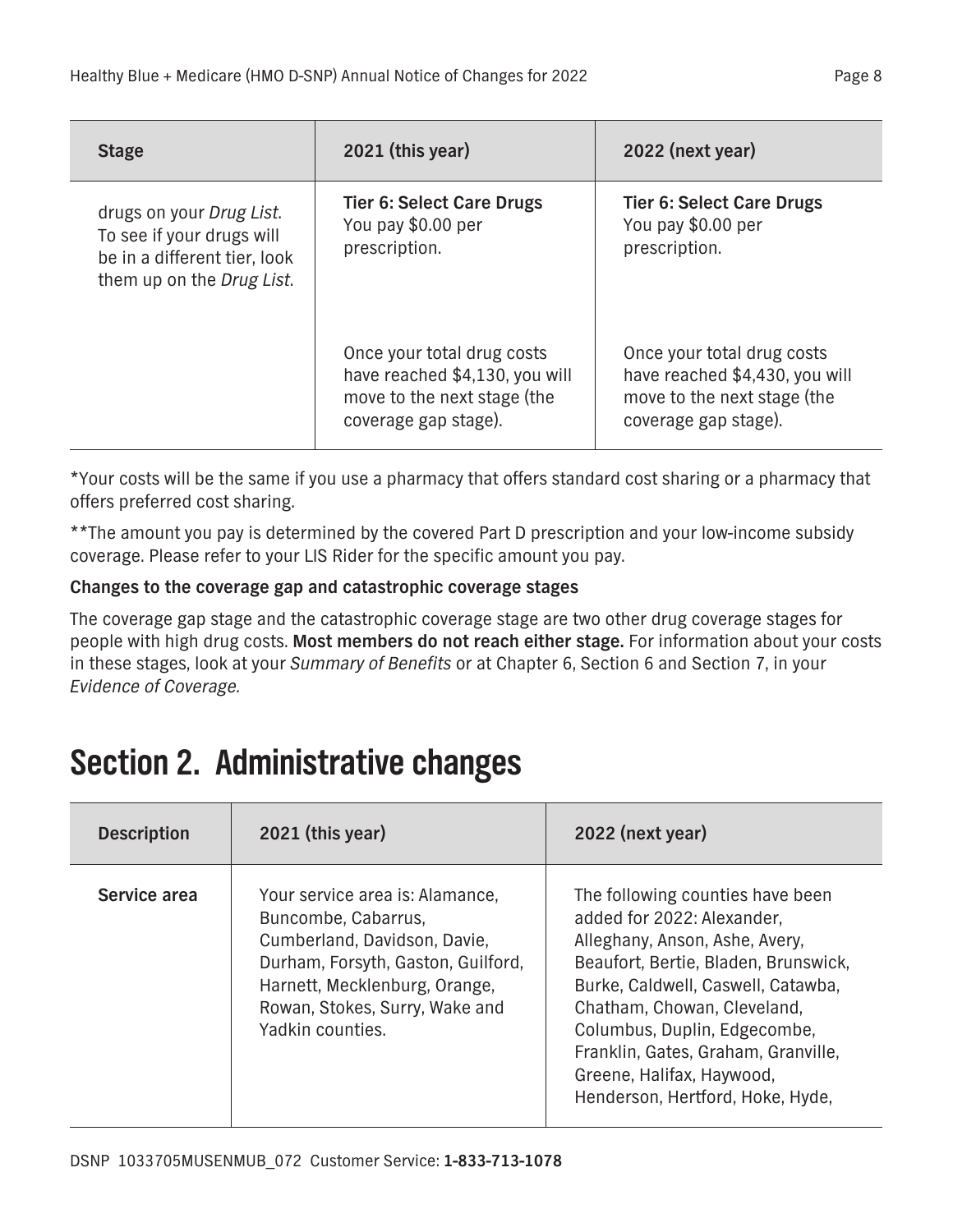<span id="page-18-0"></span>

| <b>Stage</b>                                                                                                       | 2021 (this year)                                                                                                    | 2022 (next year)                                                                                                    |
|--------------------------------------------------------------------------------------------------------------------|---------------------------------------------------------------------------------------------------------------------|---------------------------------------------------------------------------------------------------------------------|
| drugs on your Drug List.<br>To see if your drugs will<br>be in a different tier, look<br>them up on the Drug List. | <b>Tier 6: Select Care Drugs</b><br>You pay \$0.00 per<br>prescription.                                             | <b>Tier 6: Select Care Drugs</b><br>You pay \$0.00 per<br>prescription.                                             |
|                                                                                                                    | Once your total drug costs<br>have reached \$4,130, you will<br>move to the next stage (the<br>coverage gap stage). | Once your total drug costs<br>have reached \$4,430, you will<br>move to the next stage (the<br>coverage gap stage). |

**\*Your costs will be the same if you use a pharmacy that offers standard cost sharing or a pharmacy that offers preferred cost sharing.**

**\*\*The amount you pay is determined by the covered Part D prescription and your low-income subsidy coverage. Please refer to your LIS Rider for the specific amount you pay.**

### **Changes to the coverage gap and catastrophic coverage stages**

**The coverage gap stage and the catastrophic coverage stage are two other drug coverage stages for people with high drug costs. Most members do not reach either stage. For information about your costs in these stages, look at your** *Summary of Benefits* **or at Chapter 6, Section 6 and Section 7, in your**  *Evidence of Coverage.*

## **Section 2. Administrative changes**

| <b>Description</b> | $2021$ (this year)                                                                                                                                                                                                  | 2022 (next year)                                                                                                                                                                                                                                                                                                                                      |
|--------------------|---------------------------------------------------------------------------------------------------------------------------------------------------------------------------------------------------------------------|-------------------------------------------------------------------------------------------------------------------------------------------------------------------------------------------------------------------------------------------------------------------------------------------------------------------------------------------------------|
| Service area       | Your service area is: Alamance,<br>Buncombe, Cabarrus,<br>Cumberland, Davidson, Davie,<br>Durham, Forsyth, Gaston, Guilford,<br>Harnett, Mecklenburg, Orange,<br>Rowan, Stokes, Surry, Wake and<br>Yadkin counties. | The following counties have been<br>added for 2022: Alexander,<br>Alleghany, Anson, Ashe, Avery,<br>Beaufort, Bertie, Bladen, Brunswick,<br>Burke, Caldwell, Caswell, Catawba,<br>Chatham, Chowan, Cleveland,<br>Columbus, Duplin, Edgecombe,<br>Franklin, Gates, Graham, Granville,<br>Greene, Halifax, Haywood,<br>Henderson, Hertford, Hoke, Hyde, |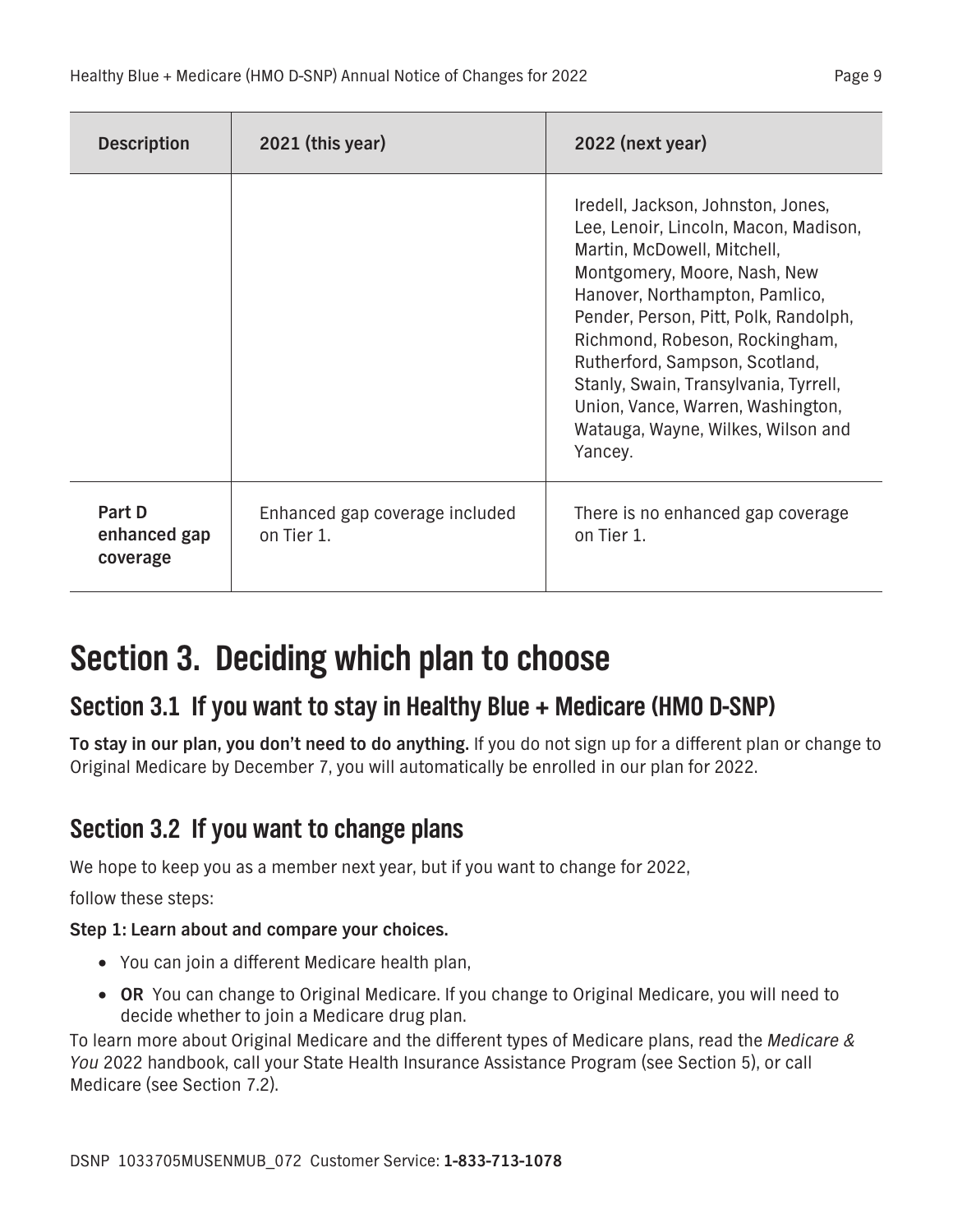<span id="page-19-1"></span>

| <b>Description</b>                 | 2021 (this year)                             | 2022 (next year)                                                                                                                                                                                                                                                                                                                                                                                                         |
|------------------------------------|----------------------------------------------|--------------------------------------------------------------------------------------------------------------------------------------------------------------------------------------------------------------------------------------------------------------------------------------------------------------------------------------------------------------------------------------------------------------------------|
|                                    |                                              | Iredell, Jackson, Johnston, Jones,<br>Lee, Lenoir, Lincoln, Macon, Madison,<br>Martin, McDowell, Mitchell,<br>Montgomery, Moore, Nash, New<br>Hanover, Northampton, Pamlico,<br>Pender, Person, Pitt, Polk, Randolph,<br>Richmond, Robeson, Rockingham,<br>Rutherford, Sampson, Scotland,<br>Stanly, Swain, Transylvania, Tyrrell,<br>Union, Vance, Warren, Washington,<br>Watauga, Wayne, Wilkes, Wilson and<br>Yancey. |
| Part D<br>enhanced gap<br>coverage | Enhanced gap coverage included<br>on Tier 1. | There is no enhanced gap coverage<br>on Tier 1.                                                                                                                                                                                                                                                                                                                                                                          |

### **Section 3. Deciding which plan to choose**

### **Section 3.1 If you want to stay in Healthy Blue + Medicare (HMO D-SNP)**

**To stay in our plan, you don't need to do anything. If you do not sign up for a different plan or change to Original Medicare by December 7, you will automatically be enrolled in our plan for 2022.**

### <span id="page-19-0"></span>**Section 3.2 If you want to change plans**

**We hope to keep you as a member next year, but if you want to change for 2022,** 

**follow these steps:**

### **Step 1: Learn about and compare your choices.**

- **You can join a different Medicare health plan,**
- □ OR You can change to Original Medicare. If you change to Original Medicare, you will need to **decide whether to join a Medicare drug plan.**

**To learn more about Original Medicare and the different types of Medicare plans, read the** *Medicare & You* **2022 handbook, call your State Health Insurance Assistance Program (see Section 5), or call Medicare (see Section 7.2).**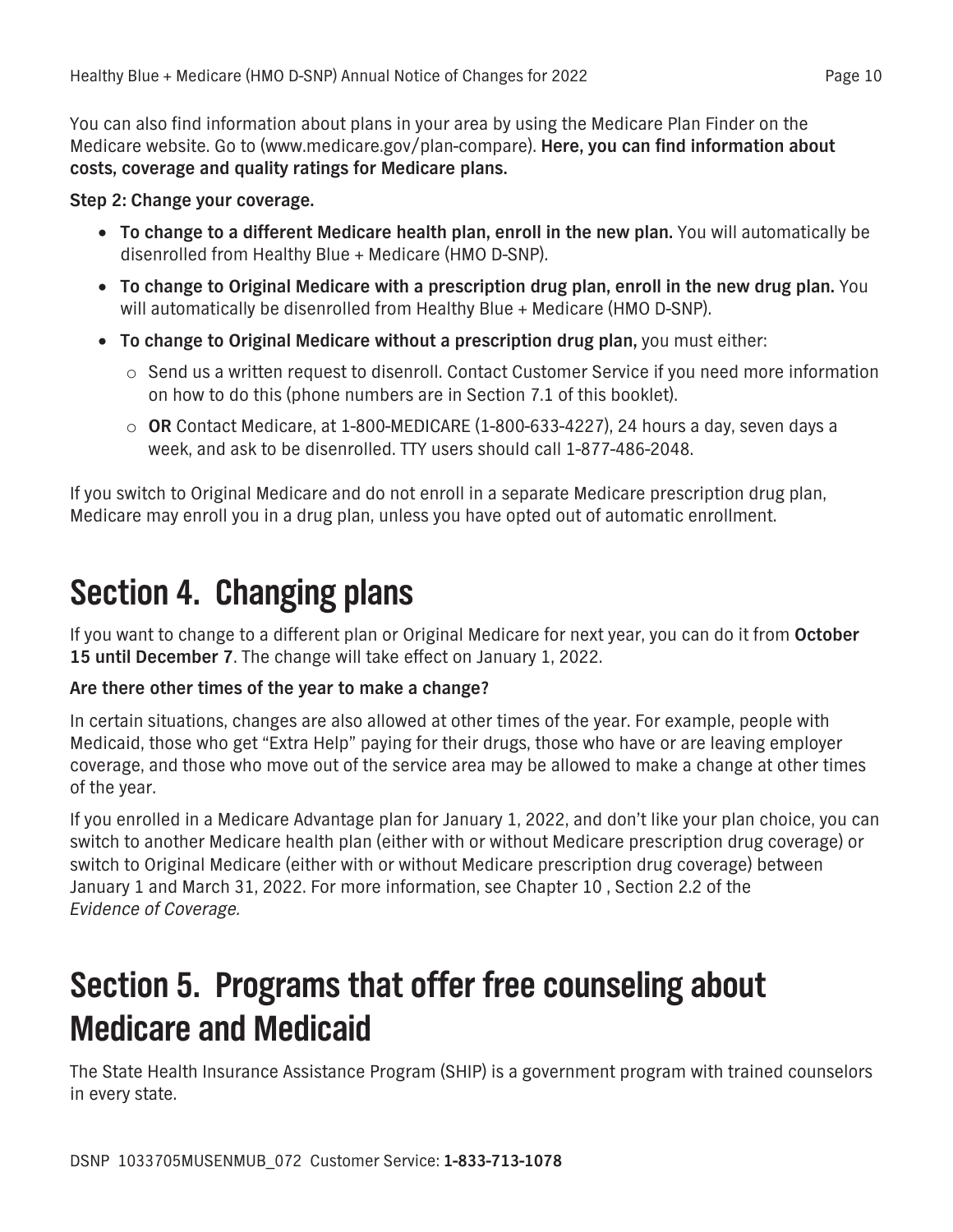<span id="page-20-0"></span>**You can also find information about plans in your area by using the Medicare Plan Finder on the Medicare website. Go to (www.medicare.gov/plan-compare). Here, you can find information about costs, coverage and quality ratings for Medicare plans.**

#### **Step 2: Change your coverage.**

- □ **To change to a different Medicare health plan, enroll in the new plan.** You will automatically be **disenrolled from Healthy Blue + Medicare (HMO D-SNP).**
- **To change to Original Medicare with a prescription drug plan, enroll in the new drug plan. You will automatically be disenrolled from Healthy Blue + Medicare (HMO D-SNP).**
- **To change to Original Medicare without a prescription drug plan, you must either:**
	- **o Send us a written request to disenroll. Contact Customer Service if you need more information on how to do this (phone numbers are in Section 7.1 of this booklet).**
	- **o OR Contact Medicare, at 1-800-MEDICARE (1-800-633-4227), 24 hours a day, seven days a week, and ask to be disenrolled. TTY users should call 1-877-486-2048.**

**If you switch to Original Medicare and do not enroll in a separate Medicare prescription drug plan, Medicare may enroll you in a drug plan, unless you have opted out of automatic enrollment.**

## **Section 4. Changing plans**

**If you want to change to a different plan or Original Medicare for next year, you can do it from October 15 until December 7. The change will take effect on January 1, 2022.**

#### **Are there other times of the year to make a change?**

**In certain situations, changes are also allowed at other times of the year. For example, people with Medicaid, those who get "Extra Help" paying for their drugs, those who have or are leaving employer coverage, and those who move out of the service area may be allowed to make a change at other times of the year.**

**If you enrolled in a Medicare Advantage plan for January 1, 2022, and don't like your plan choice, you can switch to another Medicare health plan (either with or without Medicare prescription drug coverage) or switch to Original Medicare (either with or without Medicare prescription drug coverage) between January 1 and March 31, 2022. For more information, see Chapter 10 , Section 2.2 of the**  *Evidence of Coverage.*

## **Section 5. Programs that offer free counseling about Medicare and Medicaid**

**The State Health Insurance Assistance Program (SHIP) is a government program with trained counselors in every state.**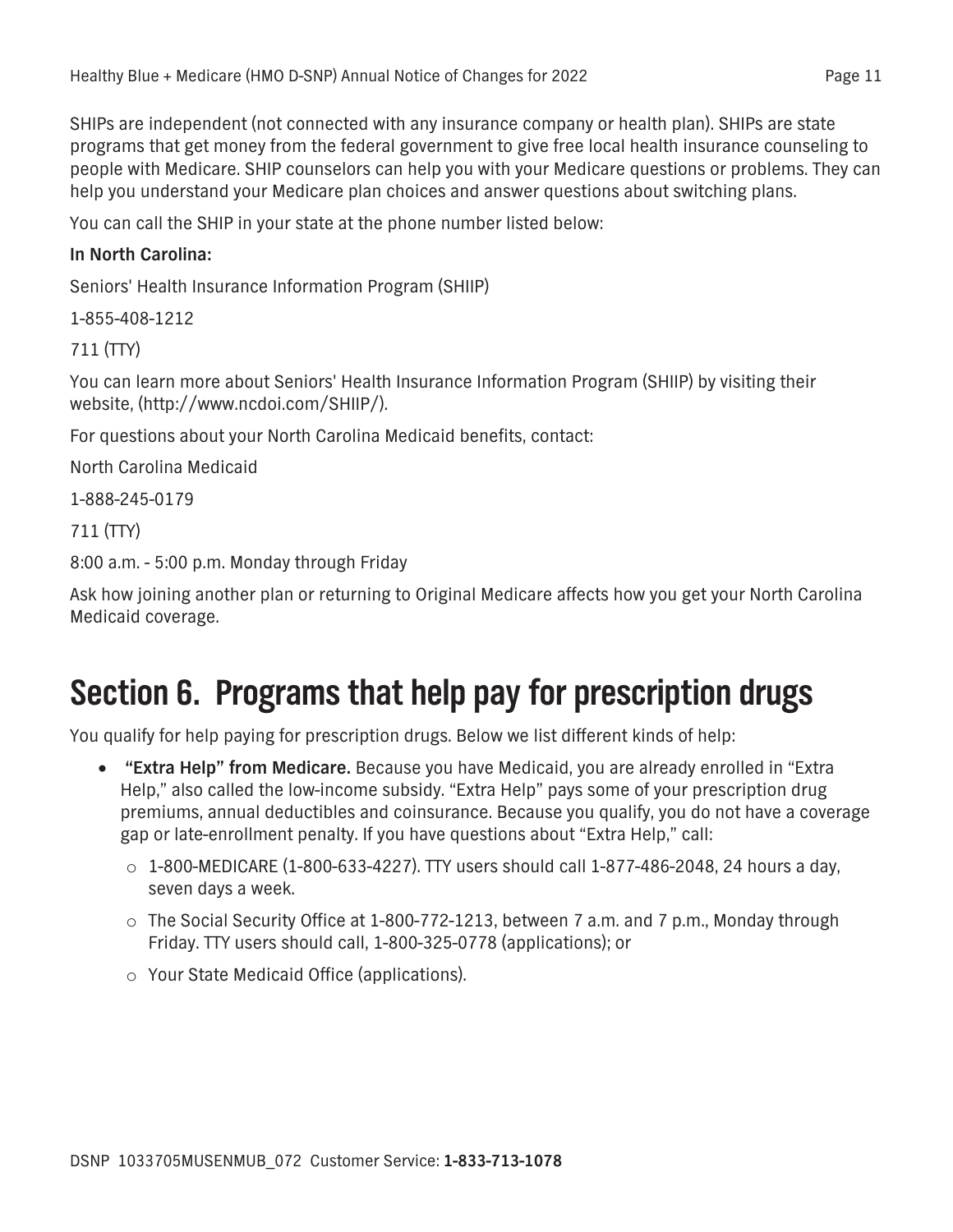<span id="page-21-0"></span>**SHIPs are independent (not connected with any insurance company or health plan). SHIPs are state programs that get money from the federal government to give free local health insurance counseling to people with Medicare. SHIP counselors can help you with your Medicare questions or problems. They can help you understand your Medicare plan choices and answer questions about switching plans.**

**You can call the SHIP in your state at the phone number listed below:**

#### **In North Carolina:**

**Seniors' Health Insurance Information Program (SHIIP)**

**1-855-408-1212**

**711 (TTY)**

**You can learn more about Seniors' Health Insurance Information Program (SHIIP) by visiting their website, [\(http://www.ncdoi.com/SHIIP/\)](http://www.ncdoi.com/SHIIP/).**

**For questions about your North Carolina Medicaid benefits, contact:**

```
North Carolina Medicaid
```
**1-888-245-0179**

**711 (TTY)**

```
8:00 a.m. - 5:00 p.m. Monday through Friday
```
**Ask how joining another plan or returning to Original Medicare affects how you get your North Carolina Medicaid coverage.**

## **Section 6. Programs that help pay for prescription drugs**

**You qualify for help paying for prescription drugs. Below we list different kinds of help:**

- **"Extra Help" from Medicare. Because you have Medicaid, you are already enrolled in "Extra Help," also called the low-income subsidy. "Extra Help" pays some of your prescription drug premiums, annual deductibles and coinsurance. Because you qualify, you do not have a coverage gap or late-enrollment penalty. If you have questions about "Extra Help," call:**
	- **o 1-800-MEDICARE (1-800-633-4227). TTY users should call 1-877-486-2048, 24 hours a day, seven days a week.**
	- **o The Social Security Office at 1-800-772-1213, between 7 a.m. and 7 p.m., Monday through Friday. TTY users should call, 1-800-325-0778 (applications); or**
	- **o Your State Medicaid Office (applications).**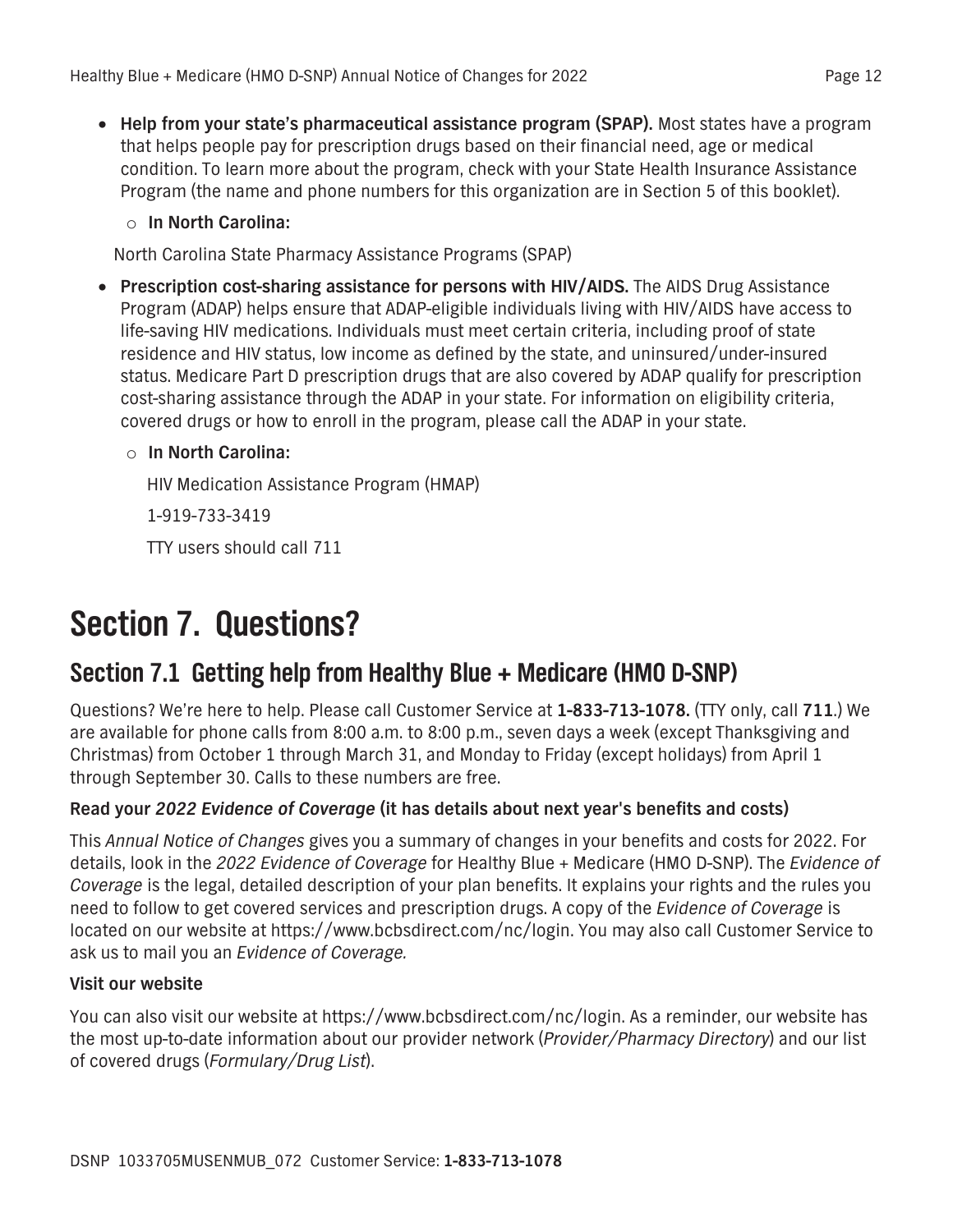- <span id="page-22-0"></span>□ **Help from your state's pharmaceutical assistance program (SPAP).** Most states have a program **that helps people pay for prescription drugs based on their financial need, age or medical condition. To learn more about the program, check with your State Health Insurance Assistance Program (the name and phone numbers for this organization are in Section 5 of this booklet).**
	- **o In North Carolina:**

**North Carolina State Pharmacy Assistance Programs (SPAP)**

- **Prescription cost-sharing assistance for persons with HIV/AIDS. The AIDS Drug Assistance Program (ADAP) helps ensure that ADAP-eligible individuals living with HIV/AIDS have access to life-saving HIV medications. Individuals must meet certain criteria, including proof of state residence and HIV status, low income as defined by the state, and uninsured/under-insured status. Medicare Part D prescription drugs that are also covered by ADAP qualify for prescription cost-sharing assistance through the ADAP in your state. For information on eligibility criteria, covered drugs or how to enroll in the program, please call the ADAP in your state.**
	- **o In North Carolina:**

**HIV Medication Assistance Program (HMAP)**

**1-919-733-3419**

**TTY users should call 711**

## **Section 7. Questions?**

### **Section 7.1 Getting help from Healthy Blue + Medicare (HMO D-SNP)**

**Questions? We're here to help. Please call Customer Service at 1-833-713-1078. (TTY only, call 711.) We are available for phone calls from 8:00 a.m. to 8:00 p.m., seven days a week (except Thanksgiving and Christmas) from October 1 through March 31, and Monday to Friday (except holidays) from April 1 through September 30. Calls to these numbers are free.**

### **Read your** *2022 Evidence of Coverage* **(it has details about next year's benefits and costs)**

**This** *Annual Notice of Changes* **gives you a summary of changes in your benefits and costs for 2022. For details, look in the** *2022 Evidence of Coverage* **for Healthy Blue + Medicare (HMO D-SNP). The** *Evidence of Coverage* **is the legal, detailed description of your plan benefits. It explains your rights and the rules you need to follow to get covered services and prescription drugs. A copy of the** *Evidence of Coverage* **is located on our website at https://www.bcbsdirect.com/nc/login. You may also call Customer Service to ask us to mail you an** *Evidence of Coverage.*

### **Visit our website**

**You can also visit our website at https://www.bcbsdirect.com/nc/login. As a reminder, our website has the most up-to-date information about our provider network (***Provider/Pharmacy Directory***) and our list of covered drugs (***Formulary/Drug List***).**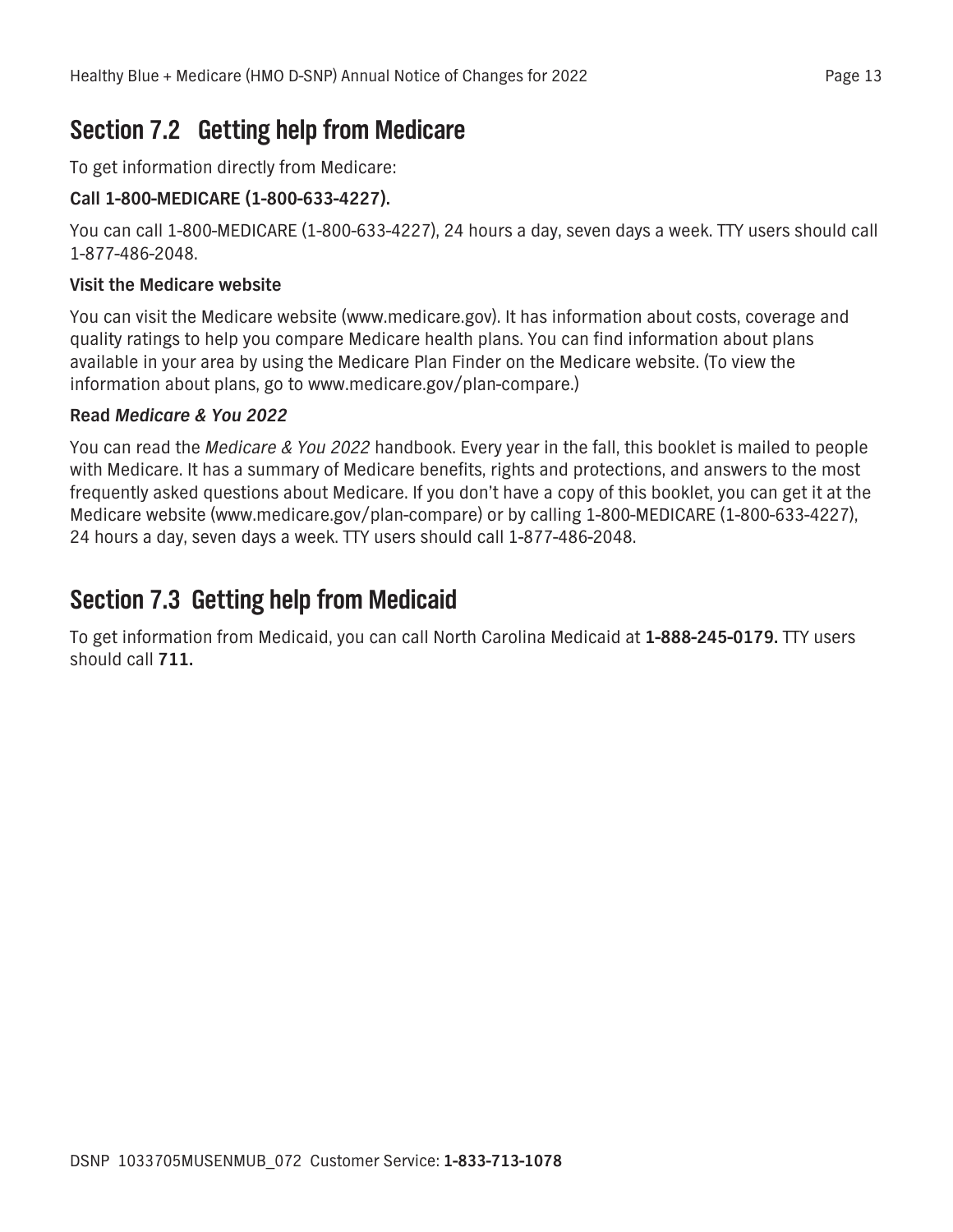### <span id="page-23-0"></span>**Section 7.2 Getting help from Medicare**

**To get information directly from Medicare:**

### **Call 1-800-MEDICARE (1-800-633-4227).**

**You can call 1-800-MEDICARE (1-800-633-4227), 24 hours a day, seven days a week. TTY users should call 1-877-486-2048.**

### **Visit the Medicare website**

**You can visit the Medicare website (www.medicare.gov). It has information about costs, coverage and quality ratings to help you compare Medicare health plans. You can find information about plans available in your area by using the Medicare Plan Finder on the Medicare website. (To view the information about plans, go to www.medicare.gov/plan-compare.)**

### **Read** *Medicare & You 2022*

**You can read the** *Medicare & You 2022* **handbook. Every year in the fall, this booklet is mailed to people with Medicare. It has a summary of Medicare benefits, rights and protections, and answers to the most frequently asked questions about Medicare. If you don't have a copy of this booklet, you can get it at the Medicare website (www.medicare.gov/plan-compare) or by calling 1-800-MEDICARE (1-800-633-4227), 24 hours a day, seven days a week. TTY users should call 1-877-486-2048.**

### **Section 7.3 Getting help from Medicaid**

**To get information from Medicaid, you can call North Carolina Medicaid at 1-888-245-0179. TTY users should call 711.**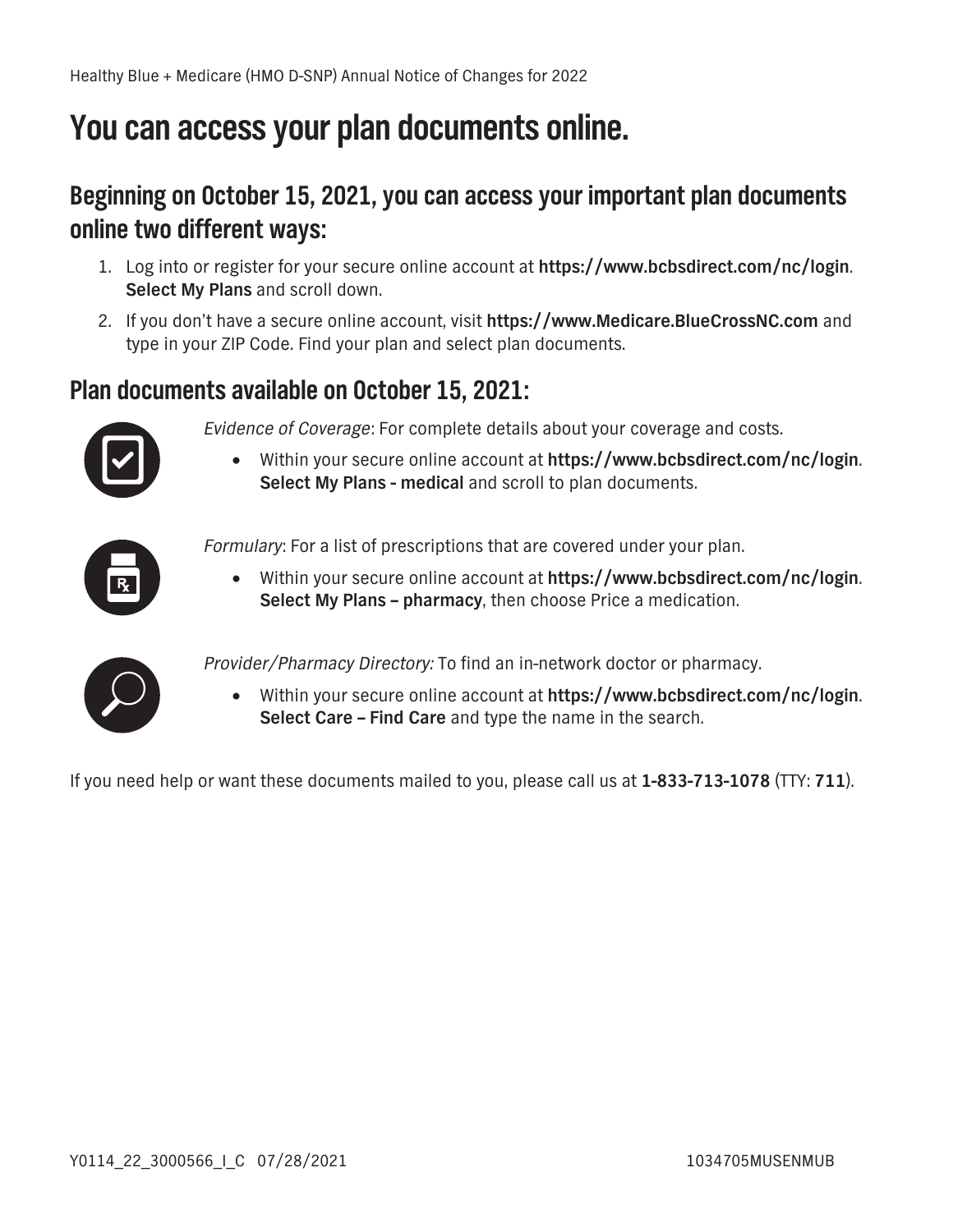## **You can access your plan documents online.**

### **Beginning on October 15, 2021, you can access your important plan documents online two different ways:**

- **1. Log into or register for your secure online account at https://www.bcbsdirect.com/nc/login. Select My Plans and scroll down.**
- **2. If you don't have a secure online account, visit https://www.Medicare.BlueCrossNC.com and type in your ZIP Code. Find your plan and select plan documents.**

### **Plan documents available on October 15, 2021:**



- *Evidence of Coverage***: For complete details about your coverage and costs.**
	- **Within your secure online account at https://www.bcbsdirect.com/nc/login. Select My Plans - medical and scroll to plan documents.**



*Formulary***: For a list of prescriptions that are covered under your plan.**

**• Within your secure online account at https://www.bcbsdirect.com/nc/login. Select My Plans – pharmacy, then choose Price a medication.**



*Provider/Pharmacy Directory:* **To find an in-network doctor or pharmacy.** 

**• Within your secure online account at https://www.bcbsdirect.com/nc/login. Select Care – Find Care and type the name in the search.**

**If you need help or want these documents mailed to you, please call us at 1-833-713-1078 (TTY: 711).**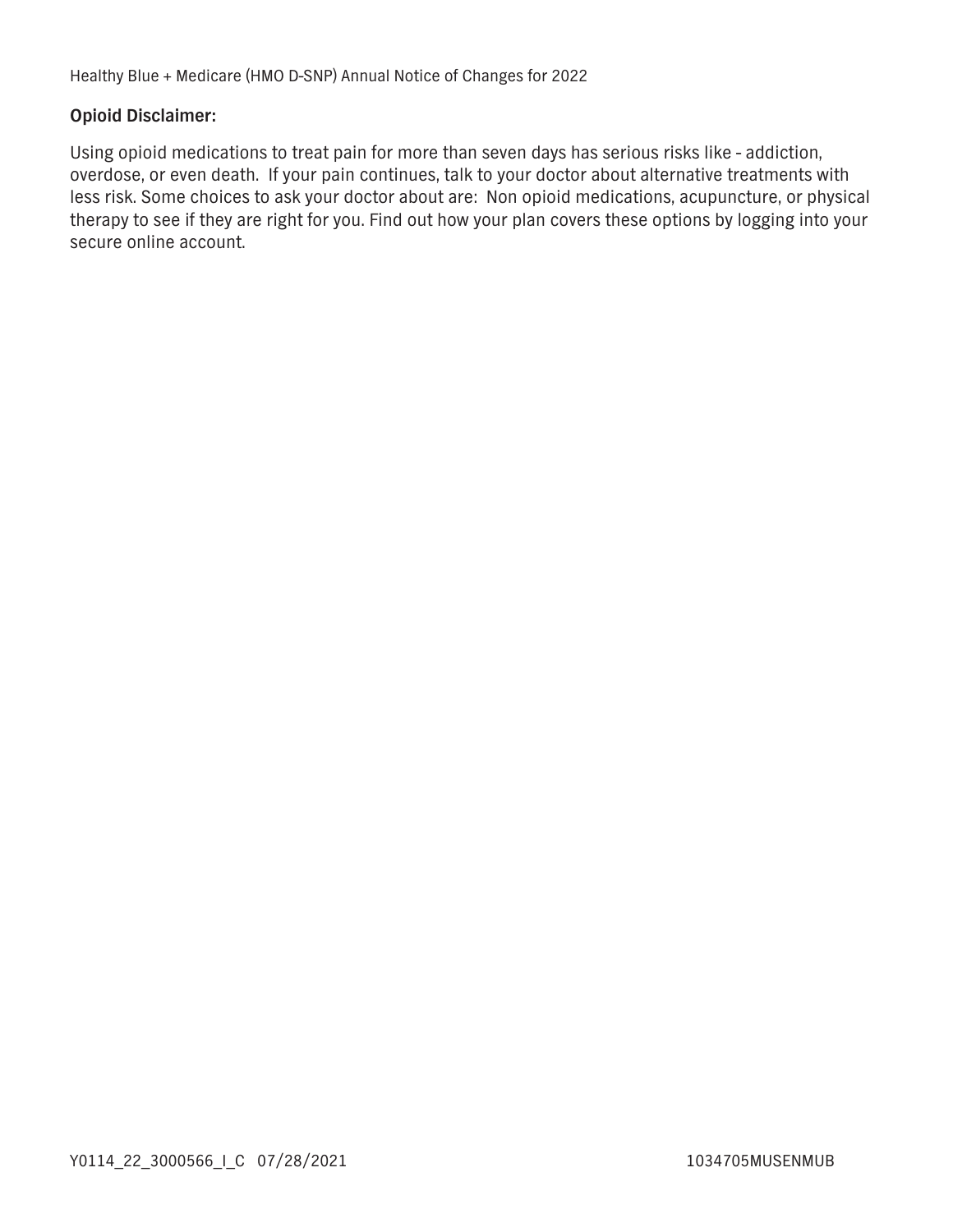#### **Opioid Disclaimer:**

**Using opioid medications to treat pain for more than seven days has serious risks like - addiction, overdose, or even death. If your pain continues, talk to your doctor about alternative treatments with less risk. Some choices to ask your doctor about are: Non opioid medications, acupuncture, or physical therapy to see if they are right for you. Find out how your plan covers these options by logging into your secure online account.**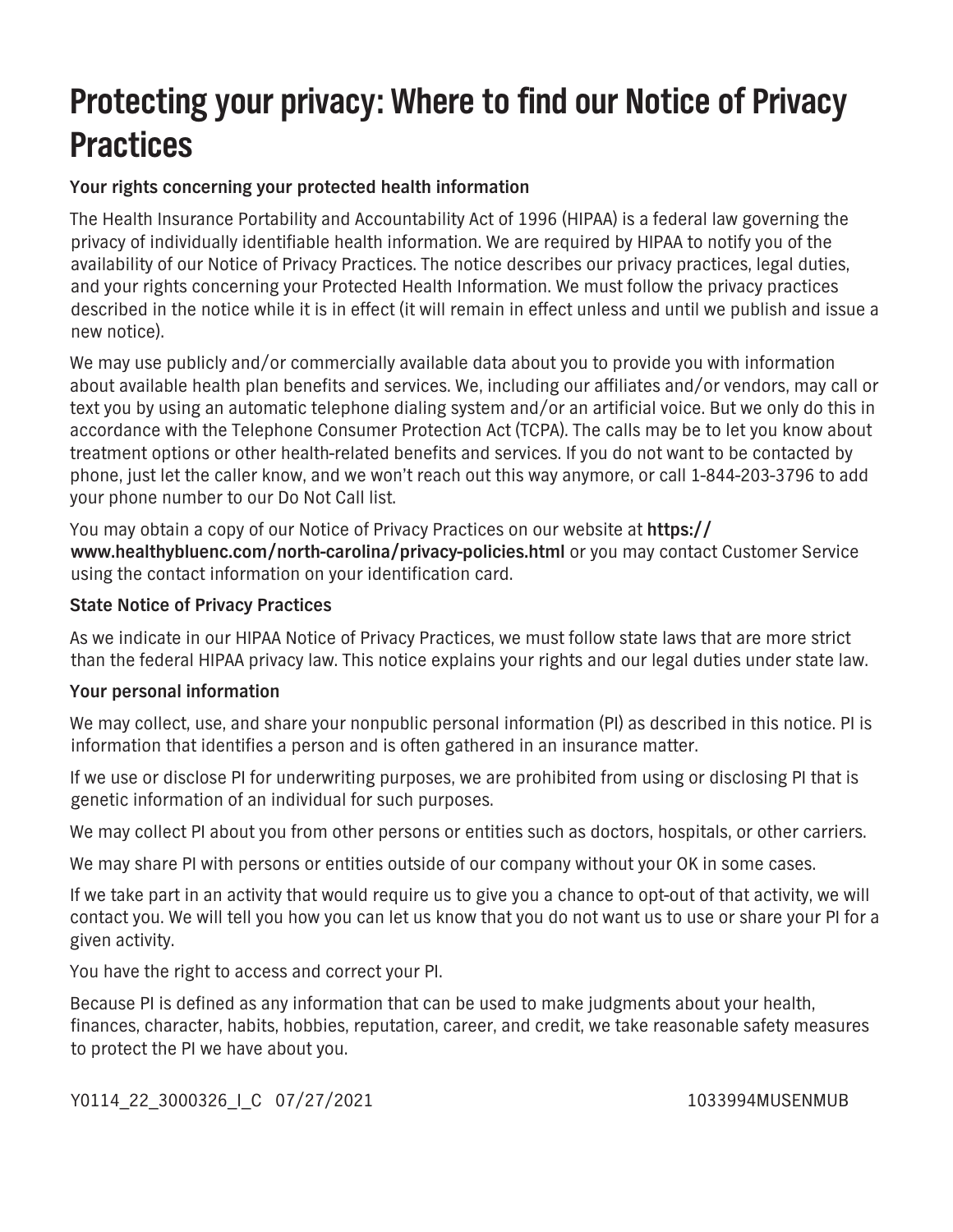## **Protecting your privacy: Where to find our Notice of Privacy Practices**

### **Your rights concerning your protected health information**

**The Health Insurance Portability and Accountability Act of 1996 (HIPAA) is a federal law governing the privacy of individually identifiable health information. We are required by HIPAA to notify you of the availability of our Notice of Privacy Practices. The notice describes our privacy practices, legal duties, and your rights concerning your Protected Health Information. We must follow the privacy practices described in the notice while it is in effect (it will remain in effect unless and until we publish and issue a new notice).** 

**We may use publicly and/or commercially available data about you to provide you with information about available health plan benefits and services. We, including our affiliates and/or vendors, may call or text you by using an automatic telephone dialing system and/or an artificial voice. But we only do this in accordance with the Telephone Consumer Protection Act (TCPA). The calls may be to let you know about treatment options or other health-related benefits and services. If you do not want to be contacted by phone, just let the caller know, and we won't reach out this way anymore, or call 1-844-203-3796 to add your phone number to our Do Not Call list.**

**You may obtain a copy of our Notice of Privacy Practices on our website at https:// www.healthybluenc.com/north-carolina/privacy-policies.html or you may contact Customer Service using the contact information on your identification card.**

### **State Notice of Privacy Practices**

**As we indicate in our HIPAA Notice of Privacy Practices, we must follow state laws that are more strict than the federal HIPAA privacy law. This notice explains your rights and our legal duties under state law.**

### **Your personal information**

**We may collect, use, and share your nonpublic personal information (PI) as described in this notice. PI is information that identifies a person and is often gathered in an insurance matter.** 

**If we use or disclose PI for underwriting purposes, we are prohibited from using or disclosing PI that is genetic information of an individual for such purposes.**

**We may collect PI about you from other persons or entities such as doctors, hospitals, or other carriers.**

**We may share PI with persons or entities outside of our company without your OK in some cases.**

**If we take part in an activity that would require us to give you a chance to opt-out of that activity, we will contact you. We will tell you how you can let us know that you do not want us to use or share your PI for a given activity.** 

**You have the right to access and correct your PI.**

**Because PI is defined as any information that can be used to make judgments about your health, finances, character, habits, hobbies, reputation, career, and credit, we take reasonable safety measures to protect the PI we have about you.**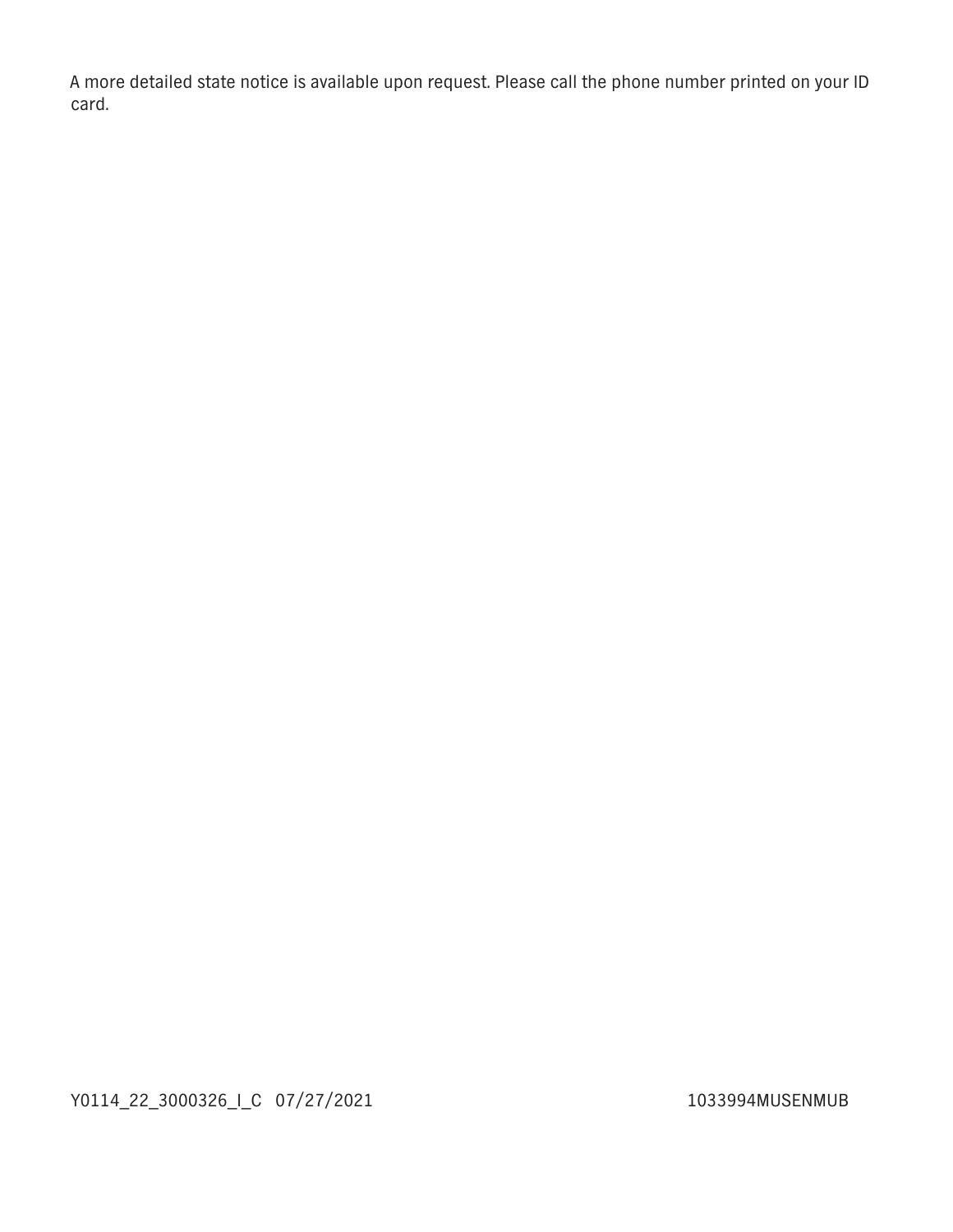**A more detailed state notice is available upon request. Please call the phone number printed on your ID card.**

**Y0114\_22\_3000326\_I\_C 07/27/2021 1033994MUSENMUB**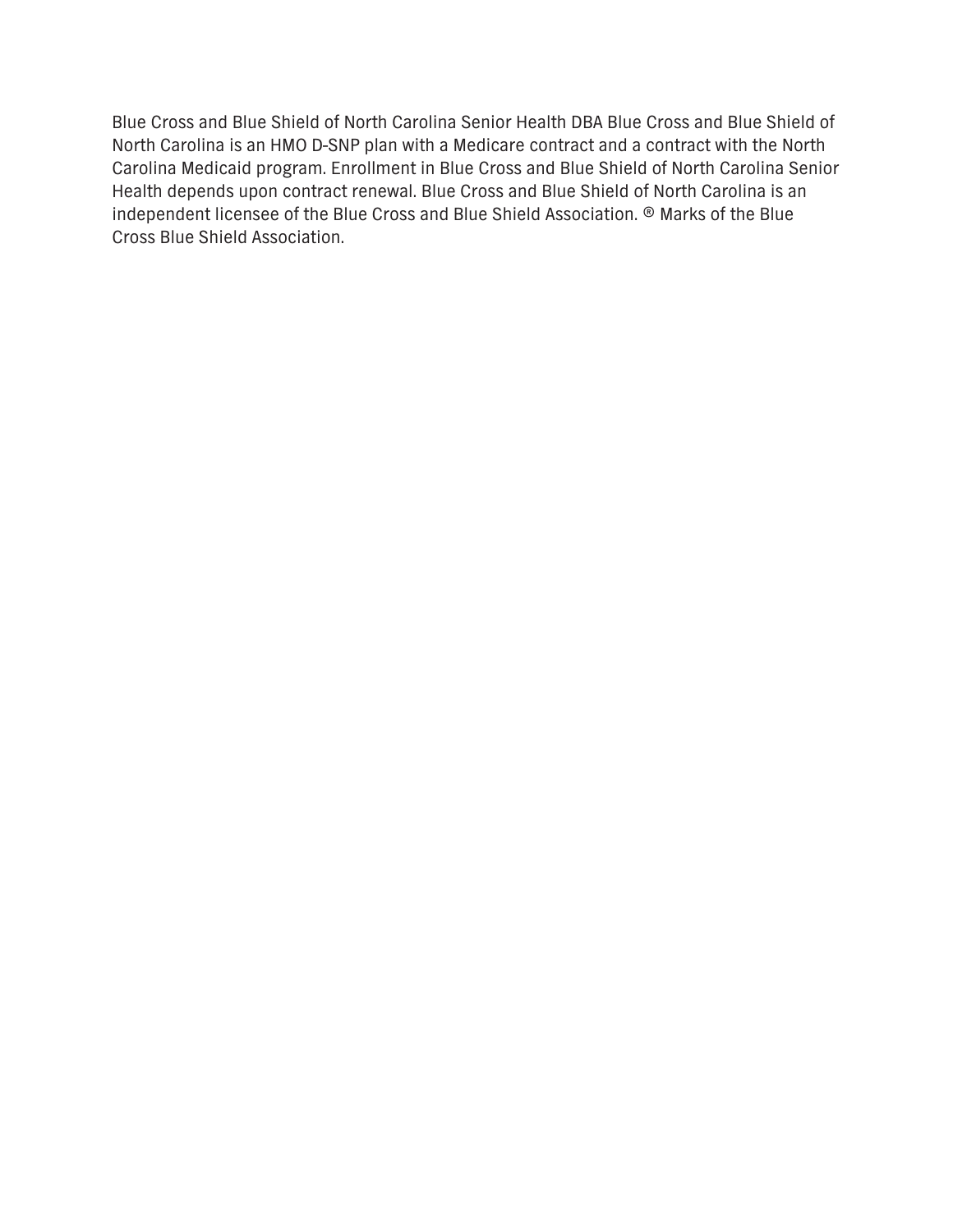**Blue Cross and Blue Shield of North Carolina Senior Health DBA Blue Cross and Blue Shield of North Carolina is an HMO D-SNP plan with a Medicare contract and a contract with the North Carolina Medicaid program. Enrollment in Blue Cross and Blue Shield of North Carolina Senior Health depends upon contract renewal. Blue Cross and Blue Shield of North Carolina is an independent licensee of the Blue Cross and Blue Shield Association. ® Marks of the Blue Cross Blue Shield Association.**